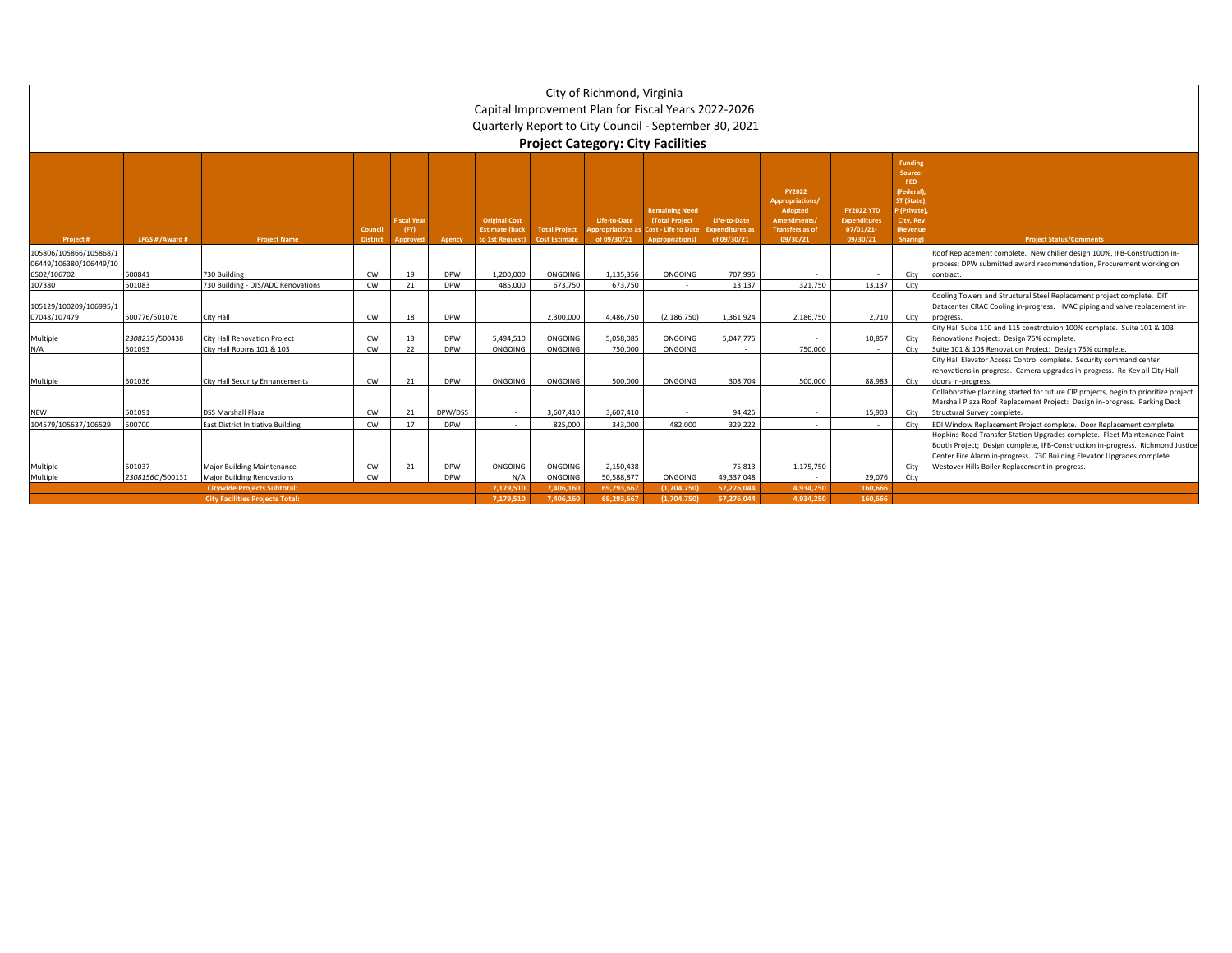|                                        | City of Richmond, Virginia                            |                                          |                      |                                       |            |                                                                 |                                              |                                                |                                                                                          |                                                       |                                                                                           |                                                                  |                                                                                                         |                                                                                                                                                                                                                                       |  |
|----------------------------------------|-------------------------------------------------------|------------------------------------------|----------------------|---------------------------------------|------------|-----------------------------------------------------------------|----------------------------------------------|------------------------------------------------|------------------------------------------------------------------------------------------|-------------------------------------------------------|-------------------------------------------------------------------------------------------|------------------------------------------------------------------|---------------------------------------------------------------------------------------------------------|---------------------------------------------------------------------------------------------------------------------------------------------------------------------------------------------------------------------------------------|--|
|                                        | Capital Improvement Plan for Fiscal Years 2022-2026   |                                          |                      |                                       |            |                                                                 |                                              |                                                |                                                                                          |                                                       |                                                                                           |                                                                  |                                                                                                         |                                                                                                                                                                                                                                       |  |
|                                        | Quarterly Report to City Council - September 30, 2021 |                                          |                      |                                       |            |                                                                 |                                              |                                                |                                                                                          |                                                       |                                                                                           |                                                                  |                                                                                                         |                                                                                                                                                                                                                                       |  |
|                                        | <b>Project Category: City Facilities</b>              |                                          |                      |                                       |            |                                                                 |                                              |                                                |                                                                                          |                                                       |                                                                                           |                                                                  |                                                                                                         |                                                                                                                                                                                                                                       |  |
|                                        | <b>Funding</b>                                        |                                          |                      |                                       |            |                                                                 |                                              |                                                |                                                                                          |                                                       |                                                                                           |                                                                  |                                                                                                         |                                                                                                                                                                                                                                       |  |
| Project #                              | LFGS # / Award #                                      | <b>Project Name</b>                      | Council<br>District, | <b>iscal Year</b><br>(FY)<br>Approved | Agency     | <b>Original Cost</b><br><b>Estimate (Back</b><br>to 1st Request | <b>Total Project</b><br><b>Cost Estimate</b> | Life-to-Date<br>ppropriations a<br>of 09/30/21 | <b>Remaining Need</b><br>(Total Project<br>Cost - Life to Date<br><b>Appropriations)</b> | Life-to-Date<br><b>Expenditures as</b><br>of 09/30/21 | FY2022<br>Appropriations/<br>Adopted<br>Amendments/<br><b>Transfers as of</b><br>09/30/21 | <b>FY2022 YTD</b><br><b>Expenditures</b><br>07/01/21<br>09/30/21 | Source:<br>FED.<br><b>Federal</b> )<br>T (State)<br>(Private)<br>City, Rev<br>Revenue<br><b>Sharing</b> | <b>Project Status/Comments</b>                                                                                                                                                                                                        |  |
| 105806/105866/105868/1                 |                                                       |                                          |                      |                                       |            |                                                                 |                                              |                                                |                                                                                          |                                                       |                                                                                           |                                                                  |                                                                                                         | Roof Replacement complete. New chiller design 100%, IFB-Construction in-                                                                                                                                                              |  |
| 06449/106380/106449/10                 |                                                       |                                          |                      |                                       |            |                                                                 |                                              |                                                |                                                                                          |                                                       |                                                                                           |                                                                  |                                                                                                         | process; DPW submitted award recommendation, Procurement working on                                                                                                                                                                   |  |
| 6502/106702                            | 500841                                                | 730 Building                             | CW                   | 19                                    | <b>DPW</b> | 1.200.000                                                       | ONGOING                                      | 1.135.356                                      | ONGOING                                                                                  | 707.995                                               |                                                                                           |                                                                  | City                                                                                                    | contract                                                                                                                                                                                                                              |  |
| 107380                                 | 501083                                                | 730 Building - DJS/ADC Renovations       | CW                   | 21                                    | <b>DPW</b> | 485,000                                                         | 673.750                                      | 673.750                                        |                                                                                          | 13.137                                                | 321.750                                                                                   | 13,137                                                           | City                                                                                                    |                                                                                                                                                                                                                                       |  |
| 105129/100209/106995/1<br>07048/107479 | 500776/501076                                         | City Hall                                | <b>CW</b>            | 18                                    | <b>DPW</b> |                                                                 | 2,300,000                                    | 4,486,750                                      | (2, 186, 750)                                                                            | 1,361,924                                             | 2,186,750                                                                                 | 2,710                                                            | City                                                                                                    | Cooling Towers and Structural Steel Replacement project complete. DIT<br>Datacenter CRAC Cooling in-progress. HVAC piping and valve replacement in-<br>progress                                                                       |  |
|                                        |                                                       |                                          |                      |                                       |            |                                                                 |                                              |                                                |                                                                                          |                                                       |                                                                                           |                                                                  |                                                                                                         | City Hall Suite 110 and 115 constrctuion 100% complete. Suite 101 & 103                                                                                                                                                               |  |
| Multiple                               | 2308235/500438                                        | City Hall Renovation Project             | CW                   |                                       | <b>DPW</b> | 5.494.510                                                       | ONGOING                                      | 5.058.085                                      | ONGOING                                                                                  | 5.047.775                                             |                                                                                           | 10.857                                                           | City                                                                                                    | Renovations Project: Design 75% complete.                                                                                                                                                                                             |  |
| N/A                                    | 501093                                                | City Hall Rooms 101 & 103                | CW                   | 22                                    | <b>DPW</b> | ONGOING                                                         | ONGOING                                      | 750,000                                        | ONGOING                                                                                  |                                                       | 750,000                                                                                   |                                                                  | City                                                                                                    | Suite 101 & 103 Renovation Project: Design 75% complete.                                                                                                                                                                              |  |
| Multiple                               | 501036                                                | City Hall Security Enhancements          | <b>CW</b>            | 21                                    | <b>DPW</b> | ONGOING                                                         | ONGOING                                      | 500.000                                        | ONGOING                                                                                  | 308,704                                               | 500,000                                                                                   | 88.983                                                           | City                                                                                                    | City Hall Elevator Access Control complete. Security command center<br>renovations in-progress. Camera upgrades in-progress. Re-Key all City Hall<br>doors in-progress.                                                               |  |
| <b>NEW</b>                             | 501091                                                | <b>DSS Marshall Plaza</b>                | CW                   | 21                                    | DPW/DSS    | $\sim$                                                          | 3.607.410                                    | 3.607.410                                      |                                                                                          | 94.425                                                |                                                                                           | 15.903                                                           | City                                                                                                    | Collaborative planning started for future CIP projects, begin to prioritize project.<br>Marshall Plaza Roof Replacement Project: Design in-progress. Parking Deck<br>Structural Survey complete.                                      |  |
| 104579/105637/106529                   | 500700                                                | <b>East District Initiative Building</b> | CW                   | 17                                    | <b>DPW</b> |                                                                 | 825.000                                      | 343,000                                        | 482.000                                                                                  | 329,222                                               |                                                                                           |                                                                  | City                                                                                                    | EDI Window Replacement Project complete. Door Replacement complete.                                                                                                                                                                   |  |
|                                        |                                                       |                                          |                      |                                       |            |                                                                 |                                              |                                                |                                                                                          |                                                       |                                                                                           |                                                                  |                                                                                                         | Hopkins Road Transfer Station Upgrades complete. Fleet Maintenance Paint<br>Booth Project; Design complete, IFB-Construction in-progress. Richmond Justice<br>Center Fire Alarm in-progress. 730 Building Elevator Upgrades complete. |  |
| Multiple                               | 501037                                                | <b>Major Building Maintenance</b>        | CW                   | 21                                    | <b>DPW</b> | ONGOING                                                         | ONGOING                                      | 2,150,438                                      |                                                                                          | 75,813                                                | 1,175,750                                                                                 | $\sim$                                                           | City                                                                                                    | Westover Hills Boiler Replacement in-progress.                                                                                                                                                                                        |  |
| Multiple                               | 2308156C/500131                                       | <b>Major Building Renovations</b>        | CW                   |                                       | <b>DPW</b> | $N/\ell$                                                        | ONGOING                                      | 50,588,877                                     | ONGOING                                                                                  | 49,337,048                                            | $\sim 10^{-1}$                                                                            | 29,076                                                           | City                                                                                                    |                                                                                                                                                                                                                                       |  |
|                                        |                                                       | <b>Citywide Projects Subtotal:</b>       |                      |                                       |            | 7.179.51                                                        | 7.406.160                                    | 69.293.667                                     | (1.704.750                                                                               | 57.276.044                                            | 4.934.250                                                                                 | 160,666                                                          |                                                                                                         |                                                                                                                                                                                                                                       |  |
|                                        |                                                       | <b>City Facilities Projects Total</b>    |                      |                                       |            | 7.179.510                                                       | 7.406.160                                    | 69.293.667                                     | (1,704,750)                                                                              | 57,276,044                                            | 4,934,250                                                                                 | 160.666                                                          |                                                                                                         |                                                                                                                                                                                                                                       |  |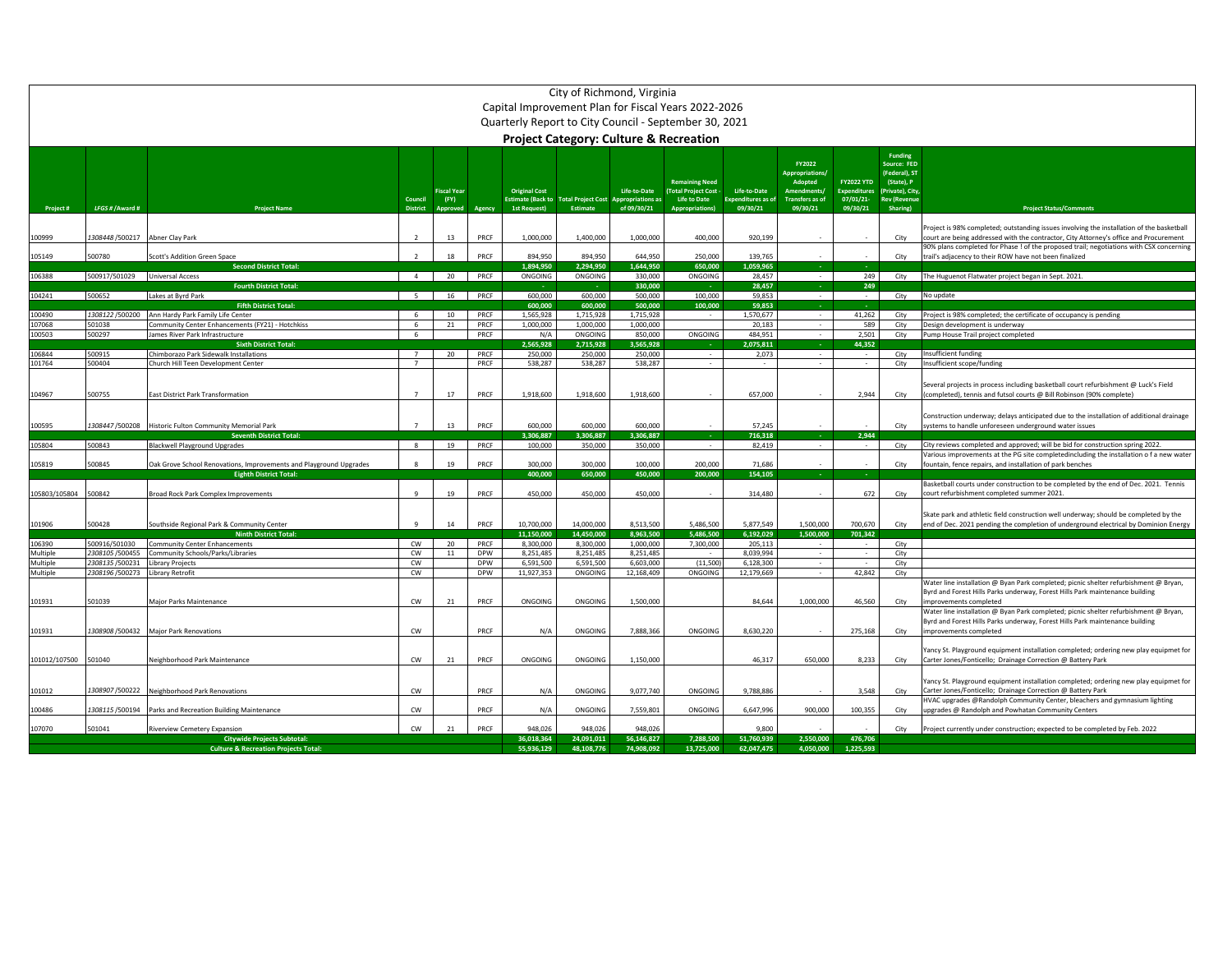|                      | City of Richmond, Virginia<br>Capital Improvement Plan for Fiscal Years 2022-2026 |                                                                                                     |                            |                    |                          |                          |                                                         |                                         |                                                       |                                       |                             |                      |                                 |                                                                                                                                                                      |
|----------------------|-----------------------------------------------------------------------------------|-----------------------------------------------------------------------------------------------------|----------------------------|--------------------|--------------------------|--------------------------|---------------------------------------------------------|-----------------------------------------|-------------------------------------------------------|---------------------------------------|-----------------------------|----------------------|---------------------------------|----------------------------------------------------------------------------------------------------------------------------------------------------------------------|
|                      |                                                                                   |                                                                                                     |                            |                    |                          |                          |                                                         |                                         |                                                       |                                       |                             |                      |                                 |                                                                                                                                                                      |
|                      |                                                                                   |                                                                                                     |                            |                    |                          |                          |                                                         |                                         | Quarterly Report to City Council - September 30, 2021 |                                       |                             |                      |                                 |                                                                                                                                                                      |
|                      |                                                                                   |                                                                                                     |                            |                    |                          |                          |                                                         |                                         | <b>Project Category: Culture &amp; Recreation</b>     |                                       |                             |                      |                                 |                                                                                                                                                                      |
|                      |                                                                                   |                                                                                                     |                            |                    |                          |                          |                                                         |                                         |                                                       |                                       | FY2022                      |                      | Funding<br>Source: FED          |                                                                                                                                                                      |
|                      |                                                                                   |                                                                                                     |                            |                    |                          |                          |                                                         |                                         | <b>Remaining Need</b>                                 |                                       | Appropriations/<br>Adopted  | <b>FY2022 YTD</b>    | (Federal), ST<br>(State), P     |                                                                                                                                                                      |
|                      |                                                                                   |                                                                                                     |                            | <b>Fiscal Year</b> |                          | <b>Original Cost</b>     |                                                         | Life-to-Date                            | (Total Project Cost -                                 | Life-to-Date                          | <b>Amendments</b>           | <b>Expenditures</b>  | Private), City                  |                                                                                                                                                                      |
| Project#             | LFGS # / Award #                                                                  | <b>Project Name</b>                                                                                 | Council<br><b>District</b> | (FY)<br>Approved   | Agency                   | 1st Request)             | <b>Estimate (Back to Total Project Cost</b><br>Estimate | <b>Appropriations as</b><br>of 09/30/21 | Life to Date<br><b>Appropriations</b>                 | <b>Expenditures as of</b><br>09/30/21 | Transfers as of<br>09/30/21 | 07/01/21<br>09/30/21 | <b>Rev (Revenue</b><br>Sharing) | <b>Project Status/Comments</b>                                                                                                                                       |
|                      |                                                                                   |                                                                                                     |                            |                    |                          |                          |                                                         |                                         |                                                       |                                       |                             |                      |                                 | Project is 98% completed; outstanding issues involving the installation of the basketball                                                                            |
| 100999               | 1308448/500217                                                                    | Abner Clay Park                                                                                     | $\overline{z}$             | 13                 | PRCF                     | 1,000,000                | 1,400,000                                               | 1,000,000                               | 400,000                                               | 920,199                               |                             |                      | City                            | court are being addressed with the contractor, City Attorney's office and Procurement                                                                                |
| 105149               | 500780                                                                            | Scott's Addition Green Space                                                                        |                            | 18                 | PRCF                     | 894,950                  | 894,950                                                 | 644,950                                 | 250,000                                               | 139,765                               |                             |                      | City                            | 90% plans completed for Phase ! of the proposed trail; negotiations with CSX concerning<br>trail's adjacency to their ROW have not been finalized                    |
|                      |                                                                                   | <b>Second District Total:</b>                                                                       |                            |                    |                          | 1.894.950                | 2.294.950                                               | 1.644.950                               | 650,000                                               | 1.059.965                             |                             |                      |                                 |                                                                                                                                                                      |
| 106388               | 500917/501029 Universal Access                                                    | <b>Fourth District Total:</b>                                                                       | $\overline{4}$             | 20                 | PRCF                     | ONGOING                  | ONGOING                                                 | 330,000<br>330,000                      | ONGOING                                               | 28,457<br>28,457                      | $\sim$                      | 249<br>249           | City                            | The Huguenot Flatwater project began in Sept. 2021.                                                                                                                  |
| 104241               | 500652                                                                            | Lakes at Byrd Park                                                                                  | 5 <sup>5</sup>             | 16                 | PRCF                     | 600,000                  | 600,000                                                 | 500,000                                 | 100,000                                               | 59.853                                | $\sim$                      | $\sim$               | City                            | No update                                                                                                                                                            |
| 100490               | 1308122/500200                                                                    | <b>Fifth District Total:</b><br>Ann Hardy Park Family Life Center                                   | -6                         | 10                 | PRCF                     | 600,000<br>1,565,928     | 600.000<br>1,715,928                                    | 500,000<br>1,715,928                    | 100,000                                               | 59,853<br>1,570,677                   | $\sim$                      | 41,262               | City                            | Project is 98% completed; the certificate of occupancy is pending                                                                                                    |
| 107068               | 501038                                                                            | Community Center Enhancements (FY21) - Hotchkiss                                                    | 6                          | 21                 | PRCF                     | 1,000,000                | 1,000,000                                               | 1,000,000                               |                                                       | 20,183                                | $\sim$                      | 589                  | City                            | Design development is underway                                                                                                                                       |
| 100503               | 500297                                                                            | James River Park Infrastructure<br><b>Sixth District Total:</b>                                     | -6                         |                    | PRCF                     | N/A<br>2,565,928         | ONGOING<br>2,715,928                                    | 850,000<br>3,565,928                    | ONGOING                                               | 484,951<br>2,075,811                  | $\sim$                      | 2,501<br>44,352      | City                            | Pump House Trail project completed                                                                                                                                   |
| 106844               | 500915                                                                            | Chimborazo Park Sidewalk Installations                                                              | $\overline{7}$             | 20                 | PRCF                     | 250,000                  | 250,000                                                 | 250,000                                 |                                                       | 2,073                                 | $\sim$                      |                      | City                            | Insufficient funding                                                                                                                                                 |
| 101764               | 500404                                                                            | Church Hill Teen Development Center                                                                 | $\overline{7}$             |                    | PRCF                     | 538,287                  | 538,287                                                 | 538,287                                 |                                                       | $\sim$                                | $\sim$                      | $\sim$               | City                            | Insufficient scope/funding                                                                                                                                           |
|                      |                                                                                   |                                                                                                     |                            |                    |                          |                          |                                                         |                                         |                                                       |                                       |                             |                      |                                 | Several projects in process including basketball court refurbishment @ Luck's Field                                                                                  |
| 104967               | 500755                                                                            | East District Park Transformation                                                                   | $\overline{7}$             | 17                 | PRCF                     | 1,918,600                | 1,918,600                                               | 1,918,600                               |                                                       | 657.000                               |                             | 2,944                | City                            | (completed), tennis and futsol courts @ Bill Robinson (90% complete)                                                                                                 |
|                      |                                                                                   |                                                                                                     |                            |                    |                          |                          |                                                         |                                         |                                                       |                                       |                             |                      |                                 | Construction underway; delays anticipated due to the installation of additional drainage                                                                             |
| 100595               | 1308447/500208                                                                    | Historic Fulton Community Memorial Park                                                             | -7                         | 13                 | PRCF                     | 600,000                  | 600,000                                                 | 600,000                                 |                                                       | 57,245                                |                             |                      | City                            | systems to handle unforeseen underground water issues                                                                                                                |
| 105804               | 500843                                                                            | <b>Seventh District Total</b><br><b>Blackwell Playground Upgrades</b>                               | 8                          | 19                 | PRCF                     | 3,306,887<br>100,000     | 3,306,887<br>350,000                                    | 3,306,887<br>350,000                    | $\sim$                                                | 716,318<br>82,419                     | $\sim$                      | 2,944<br>$\sim$      | City                            | City reviews completed and approved; will be bid for construction spring 2022.                                                                                       |
|                      |                                                                                   |                                                                                                     |                            |                    |                          |                          |                                                         |                                         |                                                       |                                       |                             |                      |                                 | Various improvements at the PG site completedincluding the installation of a new water                                                                               |
| 105819               | 500845                                                                            | Oak Grove School Renovations, Improvements and Playground Upgrades<br><b>Eighth District Total:</b> |                            | 19                 | PRCF                     | 300,000<br>400,000       | 300,000<br>650,000                                      | 100,000<br>450,000                      | 200,000<br>200,000                                    | 71.686<br>154,105                     | na.                         |                      | City                            | fountain, fence repairs, and installation of park benches                                                                                                            |
|                      |                                                                                   |                                                                                                     |                            |                    |                          |                          |                                                         |                                         |                                                       |                                       |                             |                      |                                 | Basketball courts under construction to be completed by the end of Dec. 2021. Tennis                                                                                 |
| 105803/105804        | 500842                                                                            | <b>Broad Rock Park Complex Improvements</b>                                                         |                            | 19                 | PRCF                     | 450,000                  | 450,000                                                 | 450,000                                 |                                                       | 314,480                               |                             | 672                  | City                            | court refurbishment completed summer 2021.                                                                                                                           |
|                      |                                                                                   |                                                                                                     |                            |                    |                          |                          |                                                         |                                         |                                                       |                                       |                             |                      |                                 | Skate park and athletic field construction well underway; should be completed by the                                                                                 |
| 101906               | 500428                                                                            | Southside Regional Park & Community Center<br><b>Ninth District Total</b>                           |                            | 14                 | PRCF                     | 10,700,000<br>11.150.000 | 14,000,000<br>14.450.000                                | 8.513.500<br>8.963.500                  | 5.486.500<br>5.486.500                                | 5.877.549<br>6.192.029                | 1.500.000<br>1.500.000      | 700.670<br>701.342   | City                            | end of Dec. 2021 pending the completion of underground electrical by Dominion Energy                                                                                 |
| 106390               | 500916/501030                                                                     | <b>Community Center Enhancements</b>                                                                | CW                         | 20                 | PRCF                     | 8,300,000                | 8,300,000                                               | 1,000,000                               | 7,300,000                                             | 205,113                               |                             |                      | City                            |                                                                                                                                                                      |
| Multiple<br>Multiple | 2308105 /500455<br>2308135/500231                                                 | Community Schools/Parks/Libraries                                                                   | <b>CW</b><br>CW            | 11                 | <b>DPW</b><br><b>DPW</b> | 8.251.485<br>6,591,500   | 8.251.485<br>6,591,500                                  | 8.251.485<br>6,603,000                  |                                                       | 8.039.994<br>6,128,300                | $\sim$                      | $\sim$<br>$\sim$     | City                            |                                                                                                                                                                      |
| Multiple             | 2308196/500273                                                                    | Library Projects<br>Library Retrofit                                                                | CW                         |                    | DPW                      | 11,927,353               | ONGOING                                                 | 12,168,409                              | (11,500)<br>ONGOING                                   | 12,179,669                            | $\sim$<br>$\sim$            | 42,842               | City<br>City                    |                                                                                                                                                                      |
|                      |                                                                                   |                                                                                                     |                            |                    |                          |                          |                                                         |                                         |                                                       |                                       |                             |                      |                                 | Water line installation @ Byan Park completed; picnic shelter refurbishment @ Bryan,<br>Byrd and Forest Hills Parks underway, Forest Hills Park maintenance building |
| 101931               | 501039                                                                            | Major Parks Maintenance                                                                             | ${\sf\small CW}$           | ${\bf 21}$         | PRCF                     | ONGOING                  | ONGOING                                                 | 1,500,000                               |                                                       | 84,644                                | 1,000,000                   | 46,560               | City                            | improvements completed                                                                                                                                               |
|                      |                                                                                   |                                                                                                     |                            |                    |                          |                          |                                                         |                                         |                                                       |                                       |                             |                      |                                 | Water line installation @ Byan Park completed; picnic shelter refurbishment @ Bryan,                                                                                 |
| 101931               |                                                                                   | 1308908 /500432 Major Park Renovations                                                              | CW                         |                    | PRCF                     | N/A                      | ONGOING                                                 | 7,888,366                               | ONGOING                                               | 8,630,220                             |                             | 275,168              | City                            | Byrd and Forest Hills Parks underway, Forest Hills Park maintenance building<br>improvements completed                                                               |
|                      |                                                                                   |                                                                                                     |                            |                    |                          |                          |                                                         |                                         |                                                       |                                       |                             |                      |                                 |                                                                                                                                                                      |
| 101012/107500 501040 |                                                                                   | Neighborhood Park Maintenance                                                                       | CW                         | 21                 | PRCF                     | ONGOING                  | ONGOING                                                 | 1,150,000                               |                                                       | 46,317                                | 650,000                     | 8,233                | City                            | Yancy St. Playground equipment installation completed; ordering new play equipmet for<br>Carter Jones/Fonticello; Drainage Correction @ Battery Park                 |
|                      |                                                                                   |                                                                                                     |                            |                    |                          |                          |                                                         |                                         |                                                       |                                       |                             |                      |                                 |                                                                                                                                                                      |
| 101012               | 1308907/500222                                                                    | Neighborhood Park Renovations                                                                       | CW                         |                    | PRCF                     | N/A                      | ONGOING                                                 | 9,077,740                               | ONGOING                                               | 9,788,886                             |                             | 3,548                | City                            | Yancy St. Playground equipment installation completed; ordering new play equipmet for<br>Carter Jones/Fonticello; Drainage Correction @ Battery Park                 |
|                      |                                                                                   |                                                                                                     |                            |                    |                          |                          |                                                         |                                         |                                                       |                                       |                             |                      |                                 | HVAC upgrades @Randolph Community Center, bleachers and gymnasium lighting                                                                                           |
| 100486               | 1308115/500194                                                                    | Parks and Recreation Building Maintenance                                                           | cw                         |                    | PRCF                     | N/A                      | ONGOING                                                 | 7,559,801                               | ONGOING                                               | 6,647,996                             | 900,000                     | 100,355              | City                            | upgrades @ Randolph and Powhatan Community Centers                                                                                                                   |
| 107070               | 501041                                                                            | Riverview Cemetery Expansion                                                                        | CW                         | 21                 | PRCF                     | 948,026                  | 948,026                                                 | 948,026                                 |                                                       | 9,800                                 |                             |                      | City                            | Project currently under construction; expected to be completed by Feb. 2022                                                                                          |
|                      |                                                                                   | <b>Citywide Projects Subtotal:</b><br><b>Culture &amp; Recreation Projects Total:</b>               |                            |                    |                          | 36.018.364<br>55,936,129 | 24.091.011<br>48,108,776                                | 56.146.827<br>74,908,092                | 7.288.500<br>13,725,000                               | 51.760.939<br>62,047,475              | 2.550.000<br>4,050,000      | 476.706<br>1,225,593 |                                 |                                                                                                                                                                      |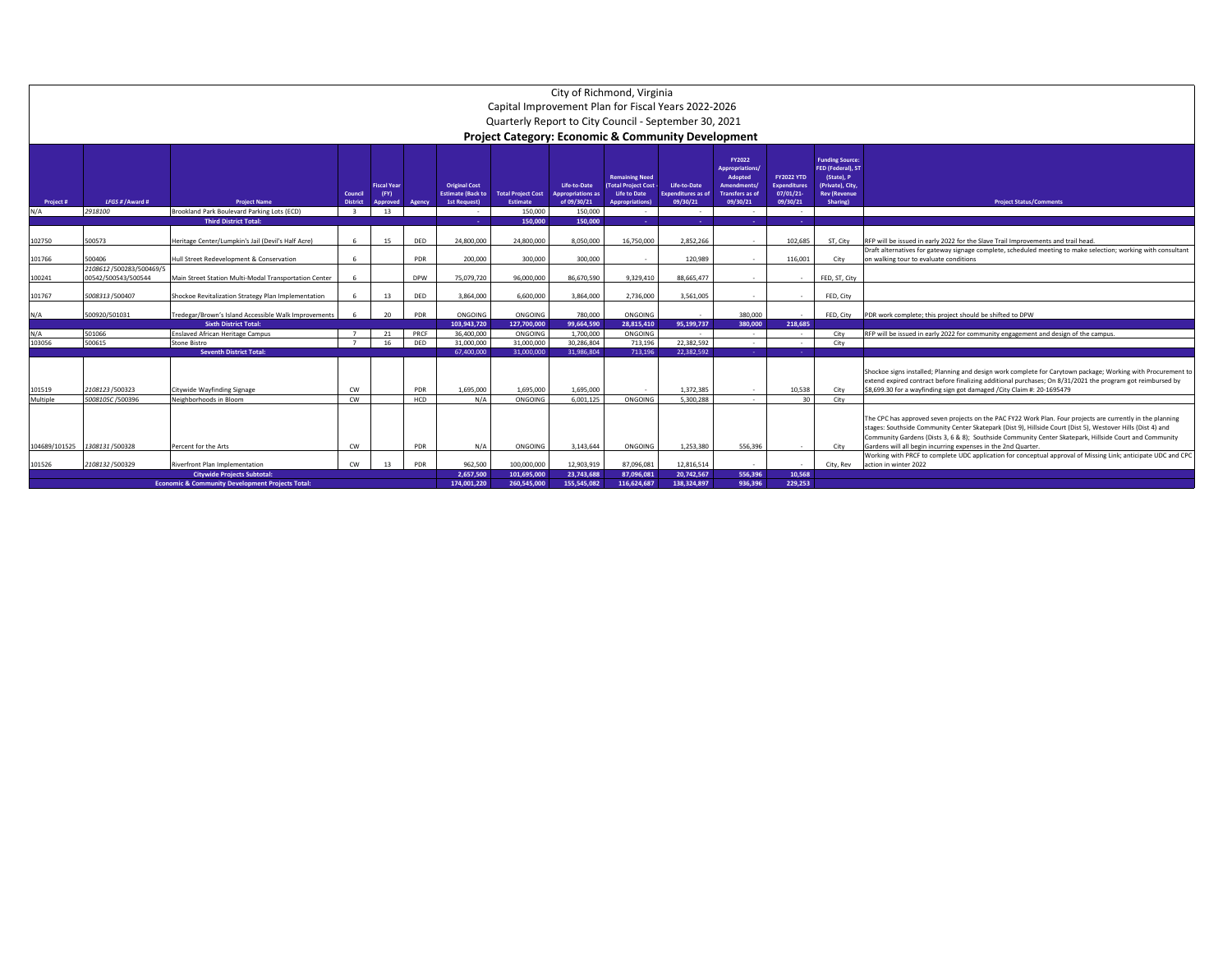|                    | City of Richmond, Virginia<br>Capital Improvement Plan for Fiscal Years 2022-2026 |                                                             |                            |                                        |                   |                                                                  |                                              |                                                         |                                                                                                       |                                                       |                                                                                                 |                                                                  |                                                                                                                 |                                                                                                                                                                                                                                                                                                                                                                                                      |  |
|--------------------|-----------------------------------------------------------------------------------|-------------------------------------------------------------|----------------------------|----------------------------------------|-------------------|------------------------------------------------------------------|----------------------------------------------|---------------------------------------------------------|-------------------------------------------------------------------------------------------------------|-------------------------------------------------------|-------------------------------------------------------------------------------------------------|------------------------------------------------------------------|-----------------------------------------------------------------------------------------------------------------|------------------------------------------------------------------------------------------------------------------------------------------------------------------------------------------------------------------------------------------------------------------------------------------------------------------------------------------------------------------------------------------------------|--|
|                    | Quarterly Report to City Council - September 30, 2021                             |                                                             |                            |                                        |                   |                                                                  |                                              |                                                         |                                                                                                       |                                                       |                                                                                                 |                                                                  |                                                                                                                 |                                                                                                                                                                                                                                                                                                                                                                                                      |  |
|                    | Project Category: Economic & Community Development                                |                                                             |                            |                                        |                   |                                                                  |                                              |                                                         |                                                                                                       |                                                       |                                                                                                 |                                                                  |                                                                                                                 |                                                                                                                                                                                                                                                                                                                                                                                                      |  |
|                    |                                                                                   |                                                             |                            |                                        |                   |                                                                  |                                              |                                                         |                                                                                                       |                                                       |                                                                                                 |                                                                  |                                                                                                                 |                                                                                                                                                                                                                                                                                                                                                                                                      |  |
| Project #          | LFGS # / Award #                                                                  | <b>Project Name</b>                                         | Council<br><b>District</b> | <b>Fiscal Year</b><br>(FY)<br>Approved | Agency            | <b>Original Cost</b><br><b>Estimate (Back to</b><br>1st Request) | <b>Total Project Cost</b><br><b>Estimate</b> | Life-to-Date<br><b>Appropriations as</b><br>of 09/30/21 | <b>Remaining Need</b><br><b>Total Project Cost -</b><br><b>Life to Date</b><br><b>Appropriations)</b> | Life-to-Date<br><b>Expenditures</b> as of<br>09/30/21 | FY2022<br>Appropriations/<br>Adopted<br><b>Amendments</b><br><b>Transfers as of</b><br>09/30/21 | <b>FY2022 YTD</b><br><b>Expenditures</b><br>07/01/21<br>09/30/21 | <b>Funding Source:</b><br>FED (Federal), ST<br>(State), P<br>(Private), City<br><b>Rev (Revenue</b><br>Sharing) | <b>Project Status/Comments</b>                                                                                                                                                                                                                                                                                                                                                                       |  |
| N/A                | 2918100                                                                           | Brookland Park Boulevard Parking Lots (ECD)                 | $\mathbf{3}$               | 13                                     |                   | $\sim$                                                           | 150,000                                      | 150,000                                                 | $\sim$                                                                                                | $\sim$                                                | $\sim$                                                                                          | $\sim$                                                           |                                                                                                                 |                                                                                                                                                                                                                                                                                                                                                                                                      |  |
|                    |                                                                                   | <b>Third District Total:</b>                                |                            |                                        |                   | <b>College</b>                                                   | 150,000                                      | 150,000                                                 | - 1                                                                                                   | a.                                                    | - 1                                                                                             | n.                                                               |                                                                                                                 |                                                                                                                                                                                                                                                                                                                                                                                                      |  |
| 102750             | 500573                                                                            | Heritage Center/Lumpkin's Jail (Devil's Half Acre)          | 6                          | 15                                     | DED               | 24.800.000                                                       | 24.800.000                                   | 8.050.000                                               | 16.750.000                                                                                            | 2.852.266                                             | $\sim$                                                                                          | 102.685                                                          | ST. City                                                                                                        | RFP will be issued in early 2022 for the Slave Trail Improvements and trail head                                                                                                                                                                                                                                                                                                                     |  |
| 101766             | 500406                                                                            | Hull Street Redevelopment & Conservation                    | 6                          |                                        | PDR               | 200,000                                                          | 300,000                                      | 300,000                                                 | $\sim$                                                                                                | 120.989                                               | $\sim$                                                                                          | 116,001                                                          | City                                                                                                            | Draft alternatives for gateway signage complete, scheduled meeting to make selection; working with consultant<br>on walking tour to evaluate conditions                                                                                                                                                                                                                                              |  |
|                    | 2108612/500283/500469/5                                                           |                                                             |                            |                                        |                   |                                                                  |                                              |                                                         |                                                                                                       |                                                       |                                                                                                 |                                                                  |                                                                                                                 |                                                                                                                                                                                                                                                                                                                                                                                                      |  |
| 100241             | 00542/500543/500544                                                               | Main Street Station Multi-Modal Transportation Center       |                            |                                        | <b>DPW</b>        | 75.079.720                                                       | 96.000.000                                   | 86.670.590                                              | 9.329.410                                                                                             | 88.665.477                                            | $\overline{\phantom{a}}$                                                                        |                                                                  | FED. ST. City                                                                                                   |                                                                                                                                                                                                                                                                                                                                                                                                      |  |
| 101767             | 5008313/500407                                                                    | Shockoe Revitalization Strategy Plan Implementation         |                            | 13                                     | DED               | 3.864.000                                                        | 6.600.000                                    | 3.864.000                                               | 2.736.000                                                                                             | 3.561.005                                             | $\sim$                                                                                          | $\sim$                                                           | FED, City                                                                                                       |                                                                                                                                                                                                                                                                                                                                                                                                      |  |
| N/A                | 500920/501031                                                                     | Tredegar/Brown's Island Accessible Walk Improvements        |                            | 20                                     | PDR               | ONGOING                                                          | ONGOING                                      | 780,000                                                 | ONGOING                                                                                               |                                                       | 380,000                                                                                         | $\sim$                                                           | FED. City                                                                                                       | PDR work complete; this project should be shifted to DPW                                                                                                                                                                                                                                                                                                                                             |  |
|                    | 501066                                                                            | <b>Sixth District Total:</b>                                | $\overline{7}$             |                                        | PRCF              | 103.943.720<br>36,400,000                                        | 127.700.000<br>ONGOING                       | 99.664.590<br>1.700.000                                 | 28.815.410<br>ONGOING                                                                                 | 95.199.737<br>$\sim$                                  | 380.000                                                                                         | 218.685<br>$\sim$                                                |                                                                                                                 | RFP will be issued in early 2022 for community engagement and design of the campus.                                                                                                                                                                                                                                                                                                                  |  |
| N/A<br>103056      | 500615                                                                            | <b>Enslaved African Heritage Campus</b><br>Stone Bistro     | $\overline{z}$             | 21<br>16                               | DED               | 31,000,000                                                       | 31.000.000                                   | 30.286.804                                              | 713.196                                                                                               | 22.382.592                                            | $\sim$<br>$\sim$                                                                                | $\sim$                                                           | City<br>City                                                                                                    |                                                                                                                                                                                                                                                                                                                                                                                                      |  |
|                    |                                                                                   | <b>Seventh District Total:</b>                              |                            |                                        |                   | 67.400.000                                                       | 31.000.000                                   | 31.986.804                                              | 713.196                                                                                               | 22.382.592                                            |                                                                                                 | . .                                                              |                                                                                                                 |                                                                                                                                                                                                                                                                                                                                                                                                      |  |
| 101519<br>Multiple | 2108123/500323<br>5008105C /500396                                                | Citywide Wayfinding Signage<br>Neighborhoods in Bloom       | <b>CW</b><br><b>CW</b>     |                                        | PDR<br><b>HCD</b> | 1.695.000<br>N/A                                                 | 1.695.000<br>ONGOING                         | 1.695.000<br>6.001.125                                  | $\sim$<br>ONGOING                                                                                     | 1.372.385<br>5.300.288                                | $\sim$<br>$\sim$                                                                                | 10.538<br>30                                                     | City<br>City                                                                                                    | Shockoe signs installed; Planning and design work complete for Carytown package; Working with Procurement to<br>extend expired contract before finalizing additional purchases; On 8/31/2021 the program got reimbursed by<br>\$8,699.30 for a wayfinding sign got damaged /City Claim #: 20-1695479                                                                                                 |  |
|                    |                                                                                   |                                                             |                            |                                        |                   |                                                                  |                                              |                                                         |                                                                                                       |                                                       |                                                                                                 |                                                                  |                                                                                                                 |                                                                                                                                                                                                                                                                                                                                                                                                      |  |
| 104689/101525      | 1308131/500328                                                                    | Percent for the Arts                                        | <b>CW</b>                  |                                        | <b>PDR</b>        | N/A                                                              | ONGOING                                      | 3.143.644                                               | ONGOING                                                                                               | 1.253.380                                             | 556.396                                                                                         | $\sim$                                                           | City                                                                                                            | The CPC has approved seven projects on the PAC FY22 Work Plan. Four projects are currently in the planning<br>stages: Southside Community Center Skatepark (Dist 9), Hillside Court (Dist 5), Westover Hills (Dist 4) and<br>Community Gardens (Dists 3, 6 & 8); Southside Community Center Skatepark, Hillside Court and Community<br>Gardens will all begin incurring expenses in the 2nd Quarter. |  |
| 101526             | 2108132/500329                                                                    | Riverfront Plan Implementation                              | CW                         | 13                                     | PDR               | 962.500                                                          | 100,000,000                                  | 12.903.919                                              | 87.096.083                                                                                            | 12.816.514                                            | $\sim$                                                                                          | $\sim$                                                           | City, Rev                                                                                                       | Working with PRCF to complete UDC application for conceptual approval of Missing Link; anticipate UDC and CPC<br>action in winter 2022                                                                                                                                                                                                                                                               |  |
|                    |                                                                                   | <b>Citywide Projects Subtotal:</b>                          |                            |                                        |                   | 2.657.500                                                        | 101.695.000                                  | 23.743.688                                              | 87.096.081                                                                                            | 20.742.567                                            | 556.396                                                                                         | 10.568                                                           |                                                                                                                 |                                                                                                                                                                                                                                                                                                                                                                                                      |  |
|                    |                                                                                   | <b>Economic &amp; Community Development Projects Total:</b> |                            |                                        |                   | 174.001.220                                                      | 260.545.000                                  | 155.545.082                                             | 116.624.687                                                                                           | 138.324.897                                           | 936.396                                                                                         | 229.253                                                          |                                                                                                                 |                                                                                                                                                                                                                                                                                                                                                                                                      |  |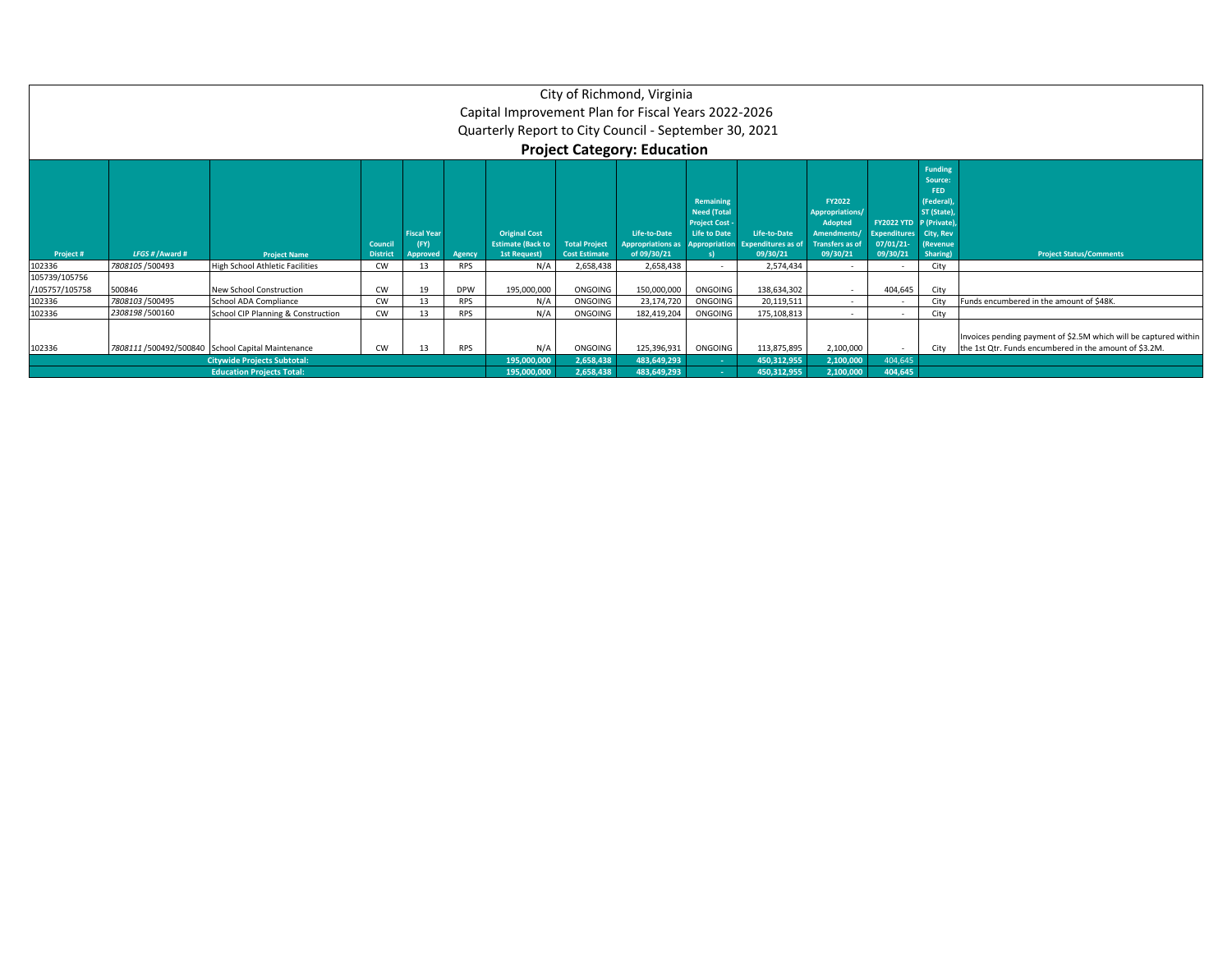|                                 |                                                                                                                                                                                                                                                                                                                                                                                                                                                                                                                                                                                                                                                                                                                                                                                                  |                                                                        |    |    |                            | Capital Improvement Plan for Fiscal Years 2022-2026<br>Quarterly Report to City Council - September 30, 2021 |                            | City of Richmond, Virginia<br><b>Project Category: Education</b> |                            |                        |                    |         |      |                                          |
|---------------------------------|--------------------------------------------------------------------------------------------------------------------------------------------------------------------------------------------------------------------------------------------------------------------------------------------------------------------------------------------------------------------------------------------------------------------------------------------------------------------------------------------------------------------------------------------------------------------------------------------------------------------------------------------------------------------------------------------------------------------------------------------------------------------------------------------------|------------------------------------------------------------------------|----|----|----------------------------|--------------------------------------------------------------------------------------------------------------|----------------------------|------------------------------------------------------------------|----------------------------|------------------------|--------------------|---------|------|------------------------------------------|
| Project #                       | <b>Funding</b><br>Source:<br>FED.<br>Remaining<br>FY2022<br>(Federal).<br><b>ST (State)</b><br><b>Need (Total</b><br>Appropriations/<br><b>Project Cost</b><br><b>FY2022 YTD P (Private)</b><br>Adopted<br><b>Original Cost</b><br><b>Life to Date</b><br>Life-to-Date<br>Life-to-Date<br><b>Expenditures</b> City, Rev<br><b>Fiscal Year</b><br>Amendments/<br><b>Estimate (Back to</b><br><b>Total Project</b><br><b>Appropriations as</b><br>07/01/21<br>(FY)<br>Appropriation Expenditures as of<br><b>Transfers as of</b><br>Council<br><b>(Revenue</b><br>09/30/21<br>LFGS # / Award #<br><b>Project Name</b><br>of 09/30/21<br>09/30/21<br>09/30/21<br><b>Project Status/Comments</b><br><b>District</b><br>Sharing)<br>1st Request)<br><b>Cost Estimate</b><br>Agency<br><b>Approved</b> |                                                                        |    |    |                            |                                                                                                              |                            |                                                                  |                            |                        |                    |         |      |                                          |
| 102336                          | 7808105 / 500493                                                                                                                                                                                                                                                                                                                                                                                                                                                                                                                                                                                                                                                                                                                                                                                 | <b>High School Athletic Facilities</b>                                 | CW | 13 | <b>RPS</b>                 | N/A                                                                                                          | 2,658,438                  | 2,658,438                                                        | $\sim$                     | 2,574,434              | $\sim$             |         | City |                                          |
| 105739/105756<br>/105757/105758 | 500846                                                                                                                                                                                                                                                                                                                                                                                                                                                                                                                                                                                                                                                                                                                                                                                           | <b>New School Construction</b>                                         | CW | 19 | <b>DPW</b>                 | 195,000,000                                                                                                  | ONGOING                    | 150,000,000                                                      | ONGOING                    | 138,634,302            | $\sim$             | 404,645 | City |                                          |
| 102336                          | 7808103 / 500495                                                                                                                                                                                                                                                                                                                                                                                                                                                                                                                                                                                                                                                                                                                                                                                 | School ADA Compliance                                                  | CW | 13 | <b>RPS</b>                 | N/A                                                                                                          | ONGOING                    | 23,174,720                                                       | ONGOING                    | 20,119,511             | $\sim$             | . .     | City | Funds encumbered in the amount of \$48K. |
| 102336                          | 2308198 / 500160                                                                                                                                                                                                                                                                                                                                                                                                                                                                                                                                                                                                                                                                                                                                                                                 | School CIP Planning & Construction                                     | CW | 13 | <b>RPS</b>                 | N/A                                                                                                          | ONGOING                    | 182,419,204                                                      | ONGOING                    | 175,108,813            | $\sim$             |         | City |                                          |
| 102336                          | Invoices pending payment of \$2.5M which will be captured within<br>the 1st Qtr. Funds encumbered in the amount of \$3.2M.<br>7808111 / 500492/ 500840 School Capital Maintenance<br>113,875,895<br>2,100,000<br><b>RPS</b><br>N/A<br>ONGOING<br>125,396,931<br>ONGOING<br><b>CW</b><br>13<br>City                                                                                                                                                                                                                                                                                                                                                                                                                                                                                               |                                                                        |    |    |                            |                                                                                                              |                            |                                                                  |                            |                        |                    |         |      |                                          |
|                                 |                                                                                                                                                                                                                                                                                                                                                                                                                                                                                                                                                                                                                                                                                                                                                                                                  | <b>Citywide Projects Subtotal:</b><br><b>Education Projects Total:</b> |    |    | 195,000,000<br>195,000,000 | 2,658,438<br>2,658,438                                                                                       | 483,649,293<br>483,649,293 |                                                                  | 450,312,955<br>450,312,955 | 2,100,000<br>2,100,000 | 404,645<br>404,645 |         |      |                                          |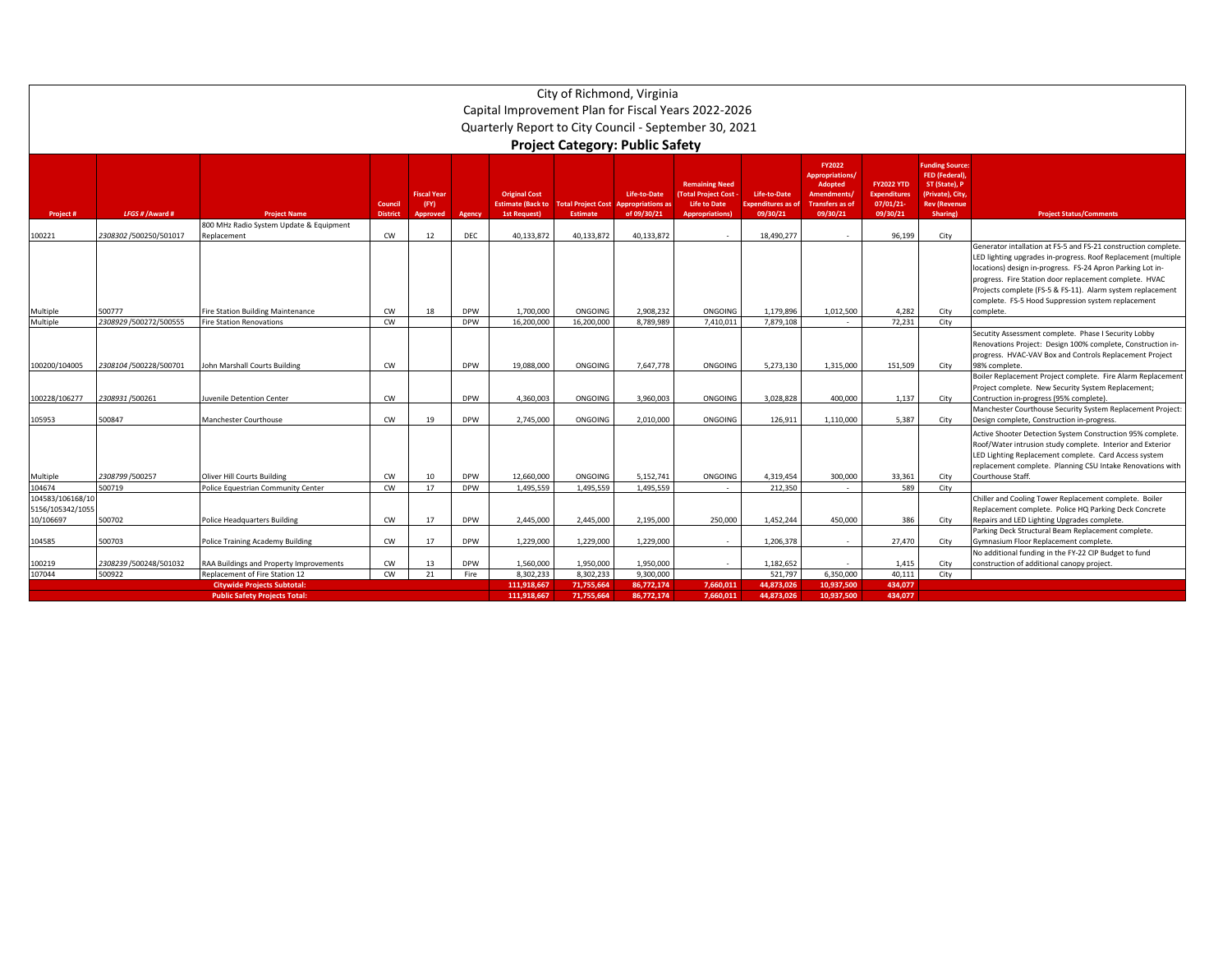|                                                   | City of Richmond, Virginia<br>Capital Improvement Plan for Fiscal Years 2022-2026<br>Quarterly Report to City Council - September 30, 2021                                                                                                                                                                                                                                                                                                                                                                                                                                                                                                                                                                                                                                                                                                                       |                                                                           |                 |          |                          |                         |                        |                        |                      |                        |            |                 |              |                                                                                                                                                                                                                                                                                                                                                                            |  |
|---------------------------------------------------|------------------------------------------------------------------------------------------------------------------------------------------------------------------------------------------------------------------------------------------------------------------------------------------------------------------------------------------------------------------------------------------------------------------------------------------------------------------------------------------------------------------------------------------------------------------------------------------------------------------------------------------------------------------------------------------------------------------------------------------------------------------------------------------------------------------------------------------------------------------|---------------------------------------------------------------------------|-----------------|----------|--------------------------|-------------------------|------------------------|------------------------|----------------------|------------------------|------------|-----------------|--------------|----------------------------------------------------------------------------------------------------------------------------------------------------------------------------------------------------------------------------------------------------------------------------------------------------------------------------------------------------------------------------|--|
|                                                   | <b>Project Category: Public Safety</b>                                                                                                                                                                                                                                                                                                                                                                                                                                                                                                                                                                                                                                                                                                                                                                                                                           |                                                                           |                 |          |                          |                         |                        |                        |                      |                        |            |                 |              |                                                                                                                                                                                                                                                                                                                                                                            |  |
| Project #                                         | <b>FY2022</b><br>unding Source:<br><b>FED (Federal)</b><br><b>Appropriations</b><br><b>Remaining Need</b><br><b>FY2022 YTD</b><br>ST (State), P<br>Adopted<br><b>Original Cost</b><br>Life-to-Date<br><b>Total Project Cost</b><br>Life-to-Date<br><b>Fiscal Year</b><br><b>Expenditures</b><br>(Private), City,<br><b>Amendments</b><br><b>Estimate (Back to</b><br>07/01/21-<br><b>Total Project Cost</b><br><b>Appropriations a</b><br><b>Life to Date</b><br>xpenditures as of<br><b>Transfers as of</b><br>Council<br>(FY)<br><b>Rev (Revenue</b><br>LFGS # / Award #<br>of 09/30/21<br>09/30/21<br>09/30/21<br>09/30/21<br><b>Project Status/Comments</b><br><b>District</b><br>Agency<br><b>1st Request)</b><br><b>Estimate</b><br><b>Appropriations</b><br>Sharing)<br><b>Project Name</b><br><b>Approved</b><br>800 MHz Radio System Update & Equipment |                                                                           |                 |          |                          |                         |                        |                        |                      |                        |            |                 |              |                                                                                                                                                                                                                                                                                                                                                                            |  |
|                                                   |                                                                                                                                                                                                                                                                                                                                                                                                                                                                                                                                                                                                                                                                                                                                                                                                                                                                  |                                                                           |                 |          |                          |                         |                        |                        |                      |                        |            |                 |              |                                                                                                                                                                                                                                                                                                                                                                            |  |
| 100221                                            | 2308302 /500250/501017                                                                                                                                                                                                                                                                                                                                                                                                                                                                                                                                                                                                                                                                                                                                                                                                                                           | Replacement                                                               | CW              | 12       | DEC                      | 40.133.872              | 40.133.872             | 40,133,872             |                      | 18.490.277             |            | 96.199          | City         | Generator intallation at FS-5 and FS-21 construction complete<br>LED lighting upgrades in-progress. Roof Replacement (multiple<br>locations) design in-progress. FS-24 Apron Parking Lot in-<br>progress. Fire Station door replacement complete. HVAC<br>Projects complete (FS-5 & FS-11). Alarm system replacement<br>complete. FS-5 Hood Suppression system replacement |  |
| Multiple<br>Multiple                              | 500777<br>2308929 /500272/500555                                                                                                                                                                                                                                                                                                                                                                                                                                                                                                                                                                                                                                                                                                                                                                                                                                 | ire Station Building Maintenance<br>ire Station Renovations               | CW<br><b>CW</b> | 18       | <b>DPW</b><br><b>DPW</b> | 1,700,000<br>16,200,000 | ONGOING<br>16,200,000  | 2,908,232<br>8,789,989 | ONGOING<br>7,410,011 | 1,179,896<br>7.879.108 | 1,012,500  | 4,282<br>72,231 | City<br>City | complete.                                                                                                                                                                                                                                                                                                                                                                  |  |
| 100200/104005                                     | 2308104 /500228/500701                                                                                                                                                                                                                                                                                                                                                                                                                                                                                                                                                                                                                                                                                                                                                                                                                                           | <b>John Marshall Courts Building</b>                                      | CW              |          | <b>DPW</b>               | 19,088,000              | ONGOING                | 7,647,778              | ONGOING              | 5,273,130              | 1,315,000  | 151,509         | City         | Secutity Assessment complete. Phase I Security Lobby<br>Renovations Project: Design 100% complete, Construction in-<br>progress. HVAC-VAV Box and Controls Replacement Project<br>98% complete.<br>Boiler Replacement Project complete. Fire Alarm Replacemen<br>Project complete. New Security System Replacement;                                                        |  |
| 100228/106277                                     | 2308931/500261                                                                                                                                                                                                                                                                                                                                                                                                                                                                                                                                                                                                                                                                                                                                                                                                                                                   | uvenile Detention Center                                                  | CW              |          | <b>DPW</b>               | 4,360,003               | ONGOING                | 3,960,003              | ONGOING              | 3,028,828              | 400,000    | 1,137           | City         | Contruction in-progress (95% complete).                                                                                                                                                                                                                                                                                                                                    |  |
| 105953                                            | 500847                                                                                                                                                                                                                                                                                                                                                                                                                                                                                                                                                                                                                                                                                                                                                                                                                                                           | Manchester Courthouse                                                     | CW              | 19       | <b>DPW</b>               | 2,745,000               | ONGOING                | 2,010,000              | ONGOING              | 126,911                | 1,110,000  | 5,387           | City         | Manchester Courthouse Security System Replacement Project<br>Design complete, Construction in-progress<br>Active Shooter Detection System Construction 95% complete                                                                                                                                                                                                        |  |
| Multiple                                          | 2308799 / 500257                                                                                                                                                                                                                                                                                                                                                                                                                                                                                                                                                                                                                                                                                                                                                                                                                                                 | <b>Oliver Hill Courts Building</b>                                        | cw              | 10       | <b>DPW</b>               | 12,660,000              | ONGOING                | 5,152,741              | ONGOING              | 4,319,454              | 300,000    | 33,361          | City         | Roof/Water intrusion study complete. Interior and Exterior<br>LED Lighting Replacement complete. Card Access system<br>replacement complete. Planning CSU Intake Renovations with<br>Courthouse Staff.                                                                                                                                                                     |  |
| 104674                                            | 500719                                                                                                                                                                                                                                                                                                                                                                                                                                                                                                                                                                                                                                                                                                                                                                                                                                                           | Police Equestrian Community Center                                        | CW              | 17       | <b>DPW</b>               | 1.495.559               | 1.495.559              | 1.495.559              |                      | 212.350                |            | 589             | City         |                                                                                                                                                                                                                                                                                                                                                                            |  |
| 104583/106168/10<br>5156/105342/1055<br>10/106697 | 500702                                                                                                                                                                                                                                                                                                                                                                                                                                                                                                                                                                                                                                                                                                                                                                                                                                                           | Police Headquarters Building                                              | CW              | 17       | <b>DPW</b>               | 2,445,000               | 2,445,000              | 2,195,000              | 250.000              | 1,452,244              | 450,000    | 386             | City         | Chiller and Cooling Tower Replacement complete. Boiler<br>Replacement complete. Police HQ Parking Deck Concrete<br>Repairs and LED Lighting Upgrades complete.                                                                                                                                                                                                             |  |
| 104585                                            | 500703                                                                                                                                                                                                                                                                                                                                                                                                                                                                                                                                                                                                                                                                                                                                                                                                                                                           | Police Training Academy Building                                          | CW              | 17       | <b>DPW</b>               | 1,229,000               | 1,229,000              | 1,229,000              |                      | 1,206,378              |            | 27,470          | City         | Parking Deck Structural Beam Replacement complete.<br>Gymnasium Floor Replacement complete                                                                                                                                                                                                                                                                                 |  |
| 100219<br>107044                                  | 2308239/500248/501032<br>500922                                                                                                                                                                                                                                                                                                                                                                                                                                                                                                                                                                                                                                                                                                                                                                                                                                  | RAA Buildings and Property Improvements<br>Replacement of Fire Station 12 | CW<br>CW        | 13<br>21 | <b>DPW</b><br>Fire       | 1,560,000<br>8,302,233  | 1,950,000<br>8,302,233 | 1,950,000<br>9,300,000 |                      | 1,182,652<br>521,797   | 6,350,000  | 1,415<br>40.111 | City<br>City | No additional funding in the FY-22 CIP Budget to fund<br>onstruction of additional canopy project.                                                                                                                                                                                                                                                                         |  |
|                                                   |                                                                                                                                                                                                                                                                                                                                                                                                                                                                                                                                                                                                                                                                                                                                                                                                                                                                  | <b>Citywide Projects Subtotal:</b>                                        |                 |          |                          | 111.918.667             | 71,755,664             | 86,772,174             | 7,660,011            | 44.873.026             | 10,937,500 | 434,077         |              |                                                                                                                                                                                                                                                                                                                                                                            |  |
|                                                   |                                                                                                                                                                                                                                                                                                                                                                                                                                                                                                                                                                                                                                                                                                                                                                                                                                                                  | <b>Public Safety Projects Total</b>                                       |                 |          |                          | 111.918.667             | 71,755,664             | 86,772,174             | 7.660.011            | 44.873.026             | 10.937.500 | 434.077         |              |                                                                                                                                                                                                                                                                                                                                                                            |  |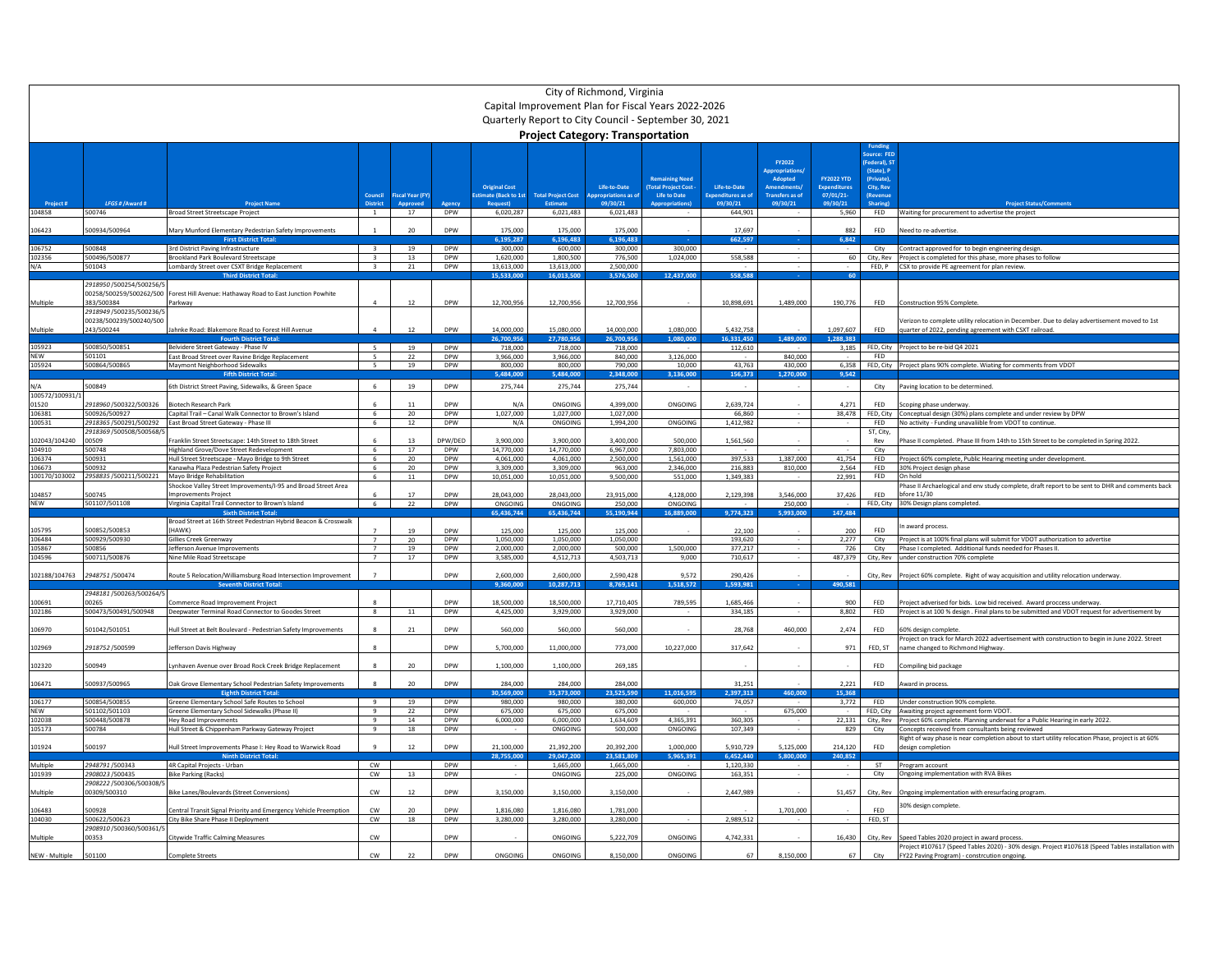|                      | City of Richmond, Virginia<br>Capital Improvement Plan for Fiscal Years 2022-2026<br>Quarterly Report to City Council - September 30, 2021<br><b>Project Category: Transportation</b> |                                                                                                         |                                  |                   |                          |                         |                           |                                         |                                               |                                       |                                                                 |                                   |                                                                    |                                                                                                                                                                         |
|----------------------|---------------------------------------------------------------------------------------------------------------------------------------------------------------------------------------|---------------------------------------------------------------------------------------------------------|----------------------------------|-------------------|--------------------------|-------------------------|---------------------------|-----------------------------------------|-----------------------------------------------|---------------------------------------|-----------------------------------------------------------------|-----------------------------------|--------------------------------------------------------------------|-------------------------------------------------------------------------------------------------------------------------------------------------------------------------|
|                      |                                                                                                                                                                                       |                                                                                                         |                                  |                   |                          | <b>Original Cost</b>    |                           | Life-to-Date                            | <b>Remaining Need</b><br>(Total Project Cost) | Life-to-Date                          | FY2022<br><b>Appropriations</b><br>Adopted<br><b>Amendments</b> | <b>FY2022 YTD</b><br>Expenditures | purce: FED<br>Federal), S'<br>(State), P<br>(Private)<br>City, Rev |                                                                                                                                                                         |
|                      | LFGS # / Aw                                                                                                                                                                           |                                                                                                         | Council                          | Fiscal Year (FY)  |                          | stimate (Back to 1st    | <b>Total Project Cost</b> | <b>Appropriations as of</b><br>09/30/21 | Life to Date                                  | <b>Expenditures as of</b><br>09/30/21 | <b>Transfers as of</b><br>09/30/21                              | 07/01/21-<br>09/30/21             | (Revenu                                                            |                                                                                                                                                                         |
| 104858               | 500746                                                                                                                                                                                | <b>Broad Street Streetscape Project</b>                                                                 |                                  | 17                | DPW                      | 6.020.287               | 6,021,483                 | 6,021,483                               |                                               | 644,901                               |                                                                 | 5,960                             | FED                                                                | Waiting for procurement to advertise the project                                                                                                                        |
| 106423               | 500934/500964                                                                                                                                                                         | Mary Munford Elementary Pedestrian Safety Improvements<br><b>First District To</b>                      |                                  | 20                | <b>DPW</b>               | 175,000<br>195.287      | 175,000<br>196.483        | 175,000<br>5.196.483                    |                                               | 17,697<br>662.597                     |                                                                 | 882<br>6.842                      | FED                                                                | Veed to re-advertise.                                                                                                                                                   |
| 106752               | 500848                                                                                                                                                                                | 3rd District Paving Infrastructure                                                                      | $\mathbf{R}$                     | 19                | DPW                      | 300,000                 | 600,000                   | 300,000                                 | 300,000                                       |                                       |                                                                 |                                   | City                                                               | Contract approved for to begin engineering design.                                                                                                                      |
| 102356<br>N/A        | 500496/500877<br>501043                                                                                                                                                               | <b>Brookland Park Boulevard Streetscape</b><br>Lombardy Street over CSXT Bridge Replacement             | $\mathbf{3}$<br>$\overline{3}$   | 13<br>21          | <b>DPW</b><br>DPW        | 1.620.000<br>13,613,000 | 1.800.500<br>13,613,000   | 776.500<br>2,500,000                    | 1.024.000                                     | 558,588                               |                                                                 | 60                                |                                                                    | City, Rev Project is completed for this phase, more phases to follow<br>FED, P CSX to provide PE agreement for plan review.                                             |
|                      |                                                                                                                                                                                       | <b>Third District Tota</b>                                                                              |                                  |                   |                          | 15.533.00               | 16.013.50                 | 3.576.500                               | 12.437.000                                    | 558.58                                |                                                                 |                                   |                                                                    |                                                                                                                                                                         |
| Multiple             | 2918950/500254/500256/5<br>00258/500259/500262/500<br>383/500384                                                                                                                      | Forest Hill Avenue: Hathaway Road to East Junction Powhite<br>Parkway                                   |                                  | 12                | <b>DPW</b>               | 12,700,956              | 12,700,956                | 12,700,956                              |                                               | 10,898,691                            | 1,489,000                                                       | 190,776                           | FED                                                                | <b>Construction 95% Complete</b>                                                                                                                                        |
|                      | 2918949 /500235/500236/5<br>00238/500239/500240/500                                                                                                                                   |                                                                                                         |                                  |                   |                          |                         |                           |                                         |                                               |                                       |                                                                 |                                   |                                                                    | /erizon to complete utility relocation in December. Due to delay advertisement moved to 1st                                                                             |
| Multiple             | 243/500244                                                                                                                                                                            | Jahnke Road: Blakemore Road to Forest Hill Avenue<br><b>Fourth District Total</b>                       |                                  | 12                | DPW                      | 14,000,000<br>6.700.956 | 15,080,000<br>27.780.956  | 14,000,000<br>26.700.956                | 1,080,000<br>1.080.000                        | 5,432,758<br>6.331.450                | 1.489.000                                                       | 1,097,607<br>288383               | FED                                                                | quarter of 2022, pending agreement with CSXT railroad                                                                                                                   |
| 105923               | 500850/500851                                                                                                                                                                         | Belvidere Street Gateway - Phase IV                                                                     | $5 -$                            | 19                | <b>DPW</b>               | 718,000                 | 718,000                   | 718,000                                 |                                               | 112,610                               |                                                                 | 3,185                             |                                                                    | FED, City Project to be re-bid Q4 2021                                                                                                                                  |
| NEW<br>105924        | 501101<br>500864/500865                                                                                                                                                               | East Broad Street over Ravine Bridge Replacement<br>Maymont Neighborhood Sidewalks                      | $\mathbb{R}$                     | 22<br>19          | <b>DPW</b><br><b>DPW</b> | 3,966,000               | 3,966,000<br>800,000      | 840,000                                 | 3,126,000<br>10.000                           |                                       | 840,000<br>430,000                                              | 6.358                             | FED                                                                |                                                                                                                                                                         |
|                      |                                                                                                                                                                                       | <b>Fifth District Tot</b>                                                                               |                                  |                   |                          | 800,000<br>484.00       | 484.00                    | 790,000<br>2,348,000                    | 3,136,000                                     | 43,763<br>156,37                      | 1.270.00                                                        | 9.542                             |                                                                    | FED, City Project plans 90% complete. Wiating for comments from VDOT                                                                                                    |
| N/A                  | 500849                                                                                                                                                                                | 6th District Street Paving, Sidewalks, & Green Space                                                    |                                  | 19                | <b>DPW</b>               | 275.744                 | 275,744                   | 275.744                                 |                                               |                                       |                                                                 |                                   | City                                                               | Paving location to be determined.                                                                                                                                       |
| 100572/100931/       |                                                                                                                                                                                       |                                                                                                         |                                  |                   | <b>DPW</b>               |                         |                           |                                         |                                               |                                       |                                                                 |                                   |                                                                    |                                                                                                                                                                         |
| 01520<br>106381      | 2918960 /500322/500326<br>500926/500927                                                                                                                                               | Biotech Research Park<br>Capital Trail - Canal Walk Connector to Brown's Island                         | 6                                | 20                | <b>DPW</b>               | N/A<br>1.027.000        | ONGOING<br>1.027.000      | 4,399,000<br>1,027,000                  | ONGOING                                       | 2,639,724<br>66,860                   |                                                                 | 4,271<br>38.478                   | FED<br>FED, City                                                   | Scoping phase underway<br>Conceptual design (30%) plans complete and under review by DPW                                                                                |
| 100531               |                                                                                                                                                                                       | 2918365 /500291/500292    East Broad Street Gateway - Phase III                                         | -6                               | 12                | <b>DPW</b>               | N/A                     | ONGOING                   | 1,994,200                               | ONGOING                                       | 1.412.982                             |                                                                 |                                   | FED                                                                | No activity - Funding unavaliible from VDOT to continue                                                                                                                 |
| 102043/104240        | 2918369 /500508/500568/5<br>00509                                                                                                                                                     | Franklin Street Streetscape: 14th Street to 18th Street                                                 |                                  | 13                | DPW/DED                  | 3.900.000               | 3.900.000                 | 3.400.000                               | 500,000                                       | 1,561,560                             |                                                                 |                                   | ST, City,<br>Rev                                                   | Thase II completed. Phase III from 14th to 15th Street to be completed in Spring 2022.                                                                                  |
| 104910               | 500748                                                                                                                                                                                | Highland Grove/Dove Street Redevelopment                                                                | 6                                | 17                | DPW                      | 14,770,000              | 14,770,000                | 6,967,000                               | 7,803,000                                     |                                       |                                                                 |                                   | City                                                               |                                                                                                                                                                         |
| 106374<br>106673     | 500931<br>500932                                                                                                                                                                      | Hull Street Streetscape - Mayo Bridge to 9th Street<br>Kanawha Plaza Pedestrian Safety Project          | 6<br>6                           | 20<br>$20\degree$ | <b>DPW</b><br><b>DPW</b> | 4,061,000<br>3,309,000  | 4,061,000<br>3,309,000    | 2,500,000<br>963,000                    | 1,561,000<br>2,346,000                        | 397,533<br>216,883                    | 1,387,000<br>810,000                                            | 41,754<br>2,564                   | FED<br>FFD                                                         | Project 60% complete, Public Hearing meeting under development.<br>30% Project design phase                                                                             |
| 100170/103002        | 2958835 /500211/500221                                                                                                                                                                | Mayo Bridge Rehabilitation                                                                              | -6                               | 11                | <b>DPW</b>               | 10.051.000              | 10.051.000                | 9.500.000                               | 551,000                                       | 1,349,383                             |                                                                 | 22.991                            | <b>FED</b>                                                         | On hold                                                                                                                                                                 |
|                      |                                                                                                                                                                                       | Shockoe Valley Street Improvements/I-95 and Broad Street Area                                           |                                  | 17                |                          |                         |                           |                                         |                                               |                                       |                                                                 |                                   |                                                                    | hase II Archaelogical and env study complete, draft report to be sent to DHR and comments back                                                                          |
| 104857<br><b>NEW</b> | 500745<br>501107/501108                                                                                                                                                               | mprovements Project<br>Virginia Capital Trail Connector to Brown's Island                               | 6                                | 22                | DPW<br><b>DPW</b>        | 28,043,000<br>ONGOING   | 28,043,000<br>ONGOING     | 23,915,000<br>250,000                   | 4,128,000<br>ONGOING                          | 2,129,398                             | 3,546,000<br>250.000                                            | 37,426                            | FED                                                                | bfore 11/30<br>FED. City 30% Design plans completed.                                                                                                                    |
|                      |                                                                                                                                                                                       | <b>Sixth District Tota</b>                                                                              |                                  |                   |                          | 5.436.744               | 55.436.744                | 5.190.944                               | 16.889.00                                     | 9.774.32                              | -993.00                                                         | 147.48                            |                                                                    |                                                                                                                                                                         |
| 105795               | 500852/500853                                                                                                                                                                         | Broad Street at 16th Street Pedestrian Hybrid Beacon & Crosswalk<br>(HAWK)                              |                                  | 19                | <b>DPW</b>               | 125,000                 | 125,000                   | 125,000                                 |                                               | 22,100                                |                                                                 | 200                               | FFD.                                                               | n award process                                                                                                                                                         |
| 106484               | 500929/500930                                                                                                                                                                         | Gillies Creek Greenway                                                                                  |                                  | 20                | DPW                      | 1,050,000               | 1,050,000                 | 1,050,000                               |                                               | 193,620                               |                                                                 | 2,277                             | City                                                               | Project is at 100% final plans will submit for VDOT authorization to advertise                                                                                          |
| 105867<br>104596     | 500856<br>500711/500876                                                                                                                                                               | Jefferson Avenue Improvements<br>Nine Mile Road Streetscape                                             | $\overline{7}$<br>$\overline{7}$ | 19<br>17          | <b>DPW</b><br><b>DPW</b> | 2.000.000<br>3.585.000  | 2.000.000<br>4.512.713    | 500,000<br>4.503.713                    | 1.500.000<br>9,000                            | 377.217<br>710,617                    |                                                                 | 726<br>487.379                    | City                                                               | Phase I completed. Additional funds needed for Phases II.<br>City, Rev under construction 70% complete                                                                  |
|                      |                                                                                                                                                                                       |                                                                                                         |                                  |                   |                          |                         |                           |                                         |                                               |                                       |                                                                 |                                   |                                                                    |                                                                                                                                                                         |
| 102188/104763        | 2948751/500474                                                                                                                                                                        | Route 5 Relocation/Williamsburg Road Intersection Improvement                                           | $\overline{z}$                   |                   | DPW                      | 2,600,000<br>9.360.00   | 2,600,000<br>10,287,713   | 2,590,428<br>8.769.141                  | 9,572<br>1.518.57                             | 290,426<br>1.593.98                   |                                                                 | 190.581                           | City, Rev                                                          | Project 60% complete. Right of way acquisition and utility relocation underway.                                                                                         |
|                      | 2948181 /500263/500264/5                                                                                                                                                              |                                                                                                         |                                  |                   |                          |                         |                           |                                         |                                               |                                       |                                                                 |                                   |                                                                    |                                                                                                                                                                         |
| 10069:<br>102186     | 00265<br>500473/500491/500948                                                                                                                                                         | Commerce Road Improvement Project<br>Deepwater Terminal Road Connector to Goodes Street                 | 8                                |                   | DPW<br><b>DPW</b>        | 18,500,000<br>4.425.000 | 18,500,000<br>3.929.000   | 17,710,405                              | 789,595                                       | 1,685,466<br>334.185                  |                                                                 | 900                               | FED<br>FED                                                         | Project adverised for bids. Low bid received. Award proccess underway<br>Project is at 100 % design . Final plans to be submitted and VDOT request for advertisement by |
|                      |                                                                                                                                                                                       |                                                                                                         |                                  | $11\,$            |                          |                         |                           | 3,929,000                               |                                               |                                       |                                                                 | 8,802                             |                                                                    |                                                                                                                                                                         |
| 106970               | 501042/501051                                                                                                                                                                         | Hull Street at Belt Boulevard - Pedestrian Safety Improvements                                          |                                  | 21                | <b>DPW</b>               | 560,000                 | 560,000                   | 560,000                                 |                                               | 28,768                                | 460,000                                                         | 2,474                             | <b>FFD</b>                                                         | 60% design complete                                                                                                                                                     |
| 102969               | 2918752 /500599                                                                                                                                                                       | Jefferson Davis Highway                                                                                 |                                  |                   | <b>DPW</b>               | 5,700,000               | 11,000,000                | 773,000                                 | 10,227,000                                    | 317,642                               |                                                                 | 971                               | FED, ST                                                            | roject on track for March 2022 advertisement with construction to begin in June 2022. Street<br>name changed to Richmond Highway.                                       |
| 102320               | 500949                                                                                                                                                                                | ynhaven Avenue over Broad Rock Creek Bridge Replacement                                                 |                                  | 20                | <b>DPW</b>               | 1,100,000               | 1,100,000                 | 269,185                                 |                                               |                                       |                                                                 |                                   | FFD.                                                               | Compiling bid package                                                                                                                                                   |
| 106471               | 500937/500965                                                                                                                                                                         | Oak Grove Elementary School Pedestrian Safety Improvements                                              |                                  | 20                | <b>DPW</b>               | 284.000                 | 284,000                   | 284,000                                 |                                               | 31.251                                |                                                                 | 2.221                             | FED                                                                | ward in process                                                                                                                                                         |
| 106177               | 500854/500855                                                                                                                                                                         | <b>Eighth District Total:</b><br>Greene Elementary School Safe Routes to School                         | $\mathbf{q}$                     | 19                | <b>DPW</b>               | 0.569.000<br>980,000    | 5.373.000<br>980,000      | 23.525.590<br>380,000                   | 11.016.5<br>600,000                           | 2.397.313<br>74,057                   | 460.000                                                         | 15.368<br>3.772                   | FED                                                                | Under construction 90% complete.                                                                                                                                        |
| <b>NEW</b>           | 501102/501103                                                                                                                                                                         | Greene Elementary School Sidewalks (Phase II)                                                           | $\mathbf{q}$                     | 22                | <b>DPW</b>               | 675,000                 | 675,000                   | 675,000                                 |                                               |                                       | 675,000                                                         |                                   |                                                                    | FED, City Awaiting project agreement form VDOT.                                                                                                                         |
| 102038<br>105173     | 500448/500878<br>500784                                                                                                                                                               | Hey Road Improvements<br>Hull Street & Chippenham Parkway Gateway Project                               | $\mathbf{q}$<br>9                | 14<br>18          | <b>DPW</b><br><b>DPW</b> | 6,000,000               | 6,000,000<br>ONGOING      | 1.634.609<br>500,000                    | 4,365,391<br>ONGOING                          | 360,305<br>107.349                    | $\sim$                                                          | 22.131<br>829                     | City                                                               | City, Rev Project 60% complete. Planning underwat for a Public Hearing in early 2022.<br>Concepts received from consultants being reviewed                              |
| 101924               | 500197                                                                                                                                                                                | Hull Street Improvements Phase I: Hey Road to Warwick Road                                              |                                  | 12                | <b>DPW</b>               | 21.100.000              | 21.392.200                | 20.392.200                              | 1.000.000                                     | 5.910.729                             | 5.125.000                                                       | 214.120                           | FED                                                                | Right of way phase is near completion about to start utility relocation Phase, project is at 60%<br>design completion                                                   |
|                      |                                                                                                                                                                                       | <b>Ninth District Total</b>                                                                             |                                  |                   |                          | 28.755.00               | 29,047,200                | 23.581.809                              | 5.965.39                                      | 6.452.440                             | 5.800.00                                                        | 240,852                           |                                                                    |                                                                                                                                                                         |
| Multiple             | 2948791/500343                                                                                                                                                                        | 4R Capital Projects - Urban                                                                             | cw                               |                   | <b>DPW</b>               |                         | 1,665,000                 | 1,665,000                               |                                               | 1,120,330                             |                                                                 |                                   | ST                                                                 | Program account                                                                                                                                                         |
| 101939               | 2908023 /500435<br>2908222 /500306/500308/                                                                                                                                            | <b>Bike Parking (Racks)</b>                                                                             | CW                               | 13                | <b>DPW</b>               |                         | ONGOING                   | 225,000                                 | ONGOING                                       | 163,351                               |                                                                 |                                   | City                                                               | Ongoing implementation with RVA Bikes                                                                                                                                   |
| Multiple             | 00309/500310                                                                                                                                                                          | Bike Lanes/Boulevards (Street Conversions)                                                              | CW                               | 12                | <b>DPW</b>               | 3,150,000               | 3,150,000                 | 3,150,000                               |                                               | 2,447,989                             |                                                                 | 51,457                            | City, Rev                                                          | Ongoing implementation with eresurfacing program.<br>30% design complete                                                                                                |
| 106483<br>104030     | 500928<br>500622/500623<br>2908910 /500360/500361/                                                                                                                                    | Central Transit Signal Priority and Emergency Vehicle Preemption<br>City Bike Share Phase II Deployment | $\mathsf{cw}$<br>cw              | 20<br>18          | <b>DPW</b><br><b>DPW</b> | 1.816.080<br>3,280,000  | 1.816.080<br>3,280,000    | 1.781.000<br>3,280,000                  |                                               | 2,989,512                             | 1,701,000                                                       |                                   | <b>FFD</b><br>FED, ST                                              |                                                                                                                                                                         |
| Multiple             | 00353                                                                                                                                                                                 | <b>Citywide Traffic Calming Measures</b>                                                                | CW                               |                   | <b>DPW</b>               |                         | ONGOING                   | 5,222,709                               | ONGOING                                       | 4,742,331                             |                                                                 | 16,430                            | City, Rev                                                          | Speed Tables 2020 project in award process.                                                                                                                             |
| NEW - Multiple       | 501100                                                                                                                                                                                | Complete Streets                                                                                        | ${\sf CW}$                       | 22                | <b>DPW</b>               | ONGOING                 | ONGOING                   | 8,150,000                               | ONGOING                                       | 67                                    | 8,150,000                                                       | 67                                | City                                                               | Project #107617 (Speed Tables 2020) - 30% design. Project #107618 (Speed Tables installation with<br>FY22 Paving Program) - constrcution ongoing.                       |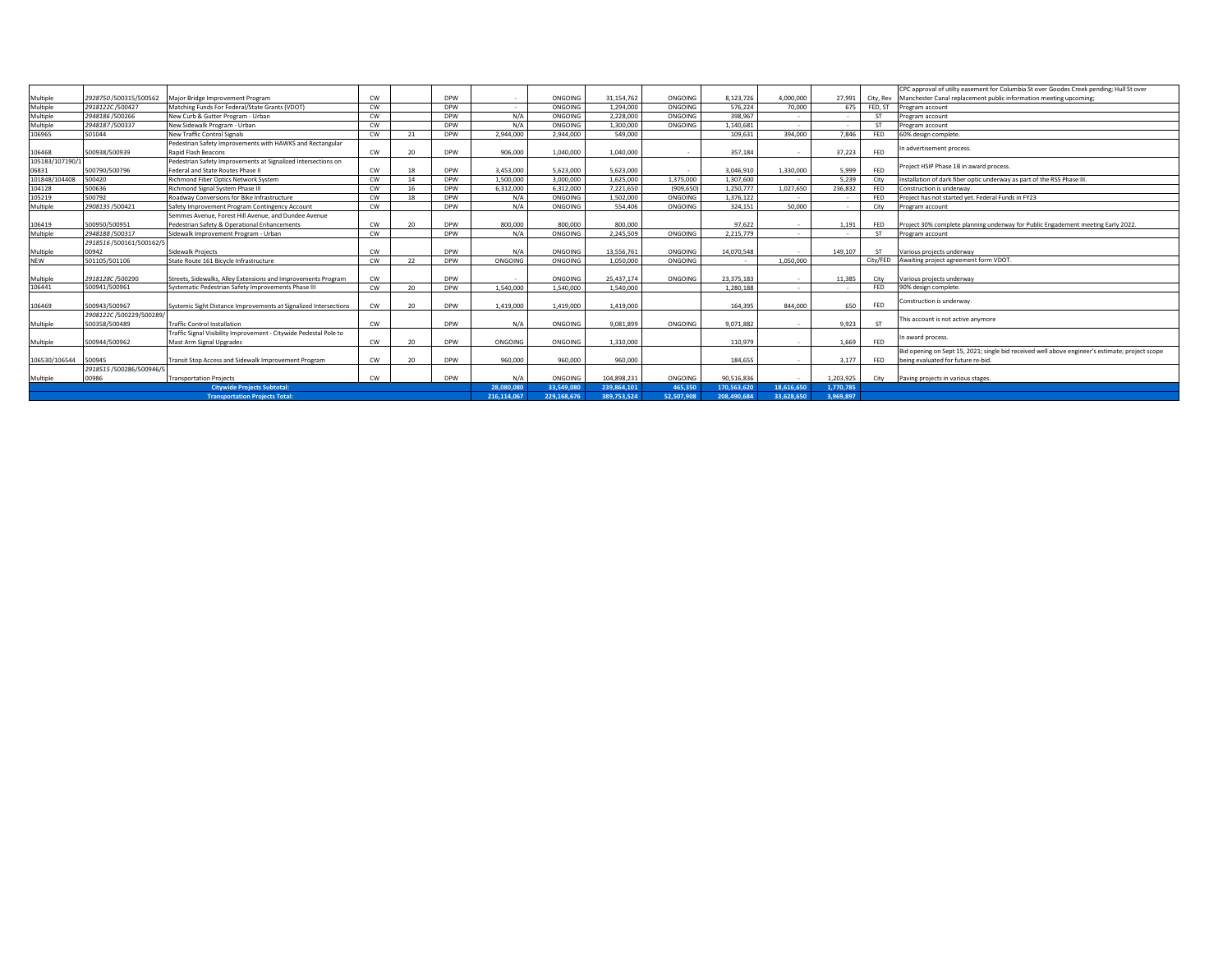|                 |                          |                                                                   |           |                 |            |             |             |             |            |             |                |                |            | CPC approval of utilty easement for Columbia St over Goodes Creek pending; Hull St over         |
|-----------------|--------------------------|-------------------------------------------------------------------|-----------|-----------------|------------|-------------|-------------|-------------|------------|-------------|----------------|----------------|------------|-------------------------------------------------------------------------------------------------|
| Multiple        | 2928750 /500315/500562   | Major Bridge Improvement Program                                  | <b>CW</b> |                 | <b>DPW</b> |             | ONGOING     | 31,154,762  | ONGOING    | 8,123,726   | 4.000.000      | 27.991         | City, Rev  | Manchester Canal replacement public information meeting upcoming:                               |
| Multiple        | 2918122C/500427          | Matching Funds For Federal/State Grants (VDOT)                    | CW        |                 | <b>DPW</b> |             | ONGOING     | 1.294.000   | ONGOING    | 576.224     | 70,000         | 675            | FED, ST    | Program account                                                                                 |
| Multiple        | 2948186 /500266          | New Curb & Gutter Program - Urban                                 | CW        |                 | <b>DPW</b> | N/A         | ONGOING     | 2.228.000   | ONGOING    | 398,967     |                | <b>A</b>       | <b>ST</b>  | Program account                                                                                 |
| Multiple        | 2948187/500337           | New Sidewalk Program - Urban                                      | <b>CW</b> |                 | <b>DPW</b> | N/A         | ONGOING     | 1.300.000   | ONGOING    | 1.140.681   | $\sim$         | $\sim$         | <b>ST</b>  | Program account                                                                                 |
| 106965          | 501044                   | <b>New Traffic Control Signals</b>                                | <b>CW</b> | 21              | <b>DPW</b> | 2.944.000   | 2.944.000   | 549,000     |            | 109.631     | 394.000        | 7.846          | <b>FED</b> | 60% design complete.                                                                            |
|                 |                          | Pedestrian Safety Improvements with HAWKS and Rectangular         |           |                 |            |             |             |             |            |             |                |                |            |                                                                                                 |
| 106468          | 500938/500939            | <b>Rapid Flash Beacons</b>                                        | CW        | 20              | <b>DPW</b> | 906.000     | 1.040.000   | 1.040.000   |            | 357,184     | <b>College</b> | 37,223         | <b>FED</b> | In advertisement process.                                                                       |
| 105183/107190/1 |                          | Pedestrian Safety Improvements at Signalized Intersections on     |           |                 |            |             |             |             |            |             |                |                |            | Project HSIP Phase 1B in award process.                                                         |
| 06831           | 500790/500796            | Federal and State Routes Phase II                                 | CW        | 18              | <b>DPW</b> | 3.453.000   | 5.623.000   | 5.623.000   |            | 3.046.910   | 1.330.000      | 5.999          | <b>FED</b> |                                                                                                 |
| 101848/104408   | 500420                   | <b>Richmond Fiber Optics Network System</b>                       | <b>CW</b> | 14              | <b>DPW</b> | 1,500,000   | 3.000.000   | 1.625.000   | 1.375.000  | 1.307.600   |                | 5.239          | City       | Installation of dark fiber optic underway as part of the RSS Phase III.                         |
| 104128          | 500636                   | Richmond Signal System Phase III                                  | <b>CW</b> | 16              | <b>DPW</b> | 6.312.000   | 6.312.000   | 7.221.650   | (909.650)  | 1.250.777   | 1,027,650      | 236.832        | FED        | Construction is underway.                                                                       |
| 105219          | 500792                   | Roadway Conversions for Bike Infrastructure                       | <b>CW</b> | 18              | <b>DPW</b> | N/A         | ONGOING     | 1.502.000   | ONGOING    | 1,376,122   |                |                | FED        | Project has not started yet. Federal Funds in FY23                                              |
| Multiple        | 2908135 /500421          | Safety Improvement Program Contingency Account                    | <b>CW</b> |                 | <b>DPW</b> | N/A         | ONGOING     | 554,406     | ONGOING    | 324.151     | 50,000         | <b>A</b>       | City       | Program account                                                                                 |
|                 |                          | Semmes Avenue, Forest Hill Avenue, and Dundee Avenue              |           |                 |            |             |             |             |            |             |                |                |            |                                                                                                 |
| 106419          | 500950/500951            | Pedestrian Safety & Operational Enhancements                      | <b>CW</b> | 20 <sup>°</sup> | <b>DPW</b> | 800,000     | 800,000     | 800,000     |            | 97.622      | $\sim$         | 1.191          | FED        | Project 30% complete planning underway for Public Engadement meeting Early 2022.                |
| Multiple        | 2948188 /500317          | Sidewalk Improvement Program - Urban                              | <b>CW</b> |                 | <b>DPW</b> | N/A         | ONGOING     | 2.245.509   | ONGOING    | 2.215.779   | $\sim$         | <b>A</b>       | <b>ST</b>  | Program account                                                                                 |
|                 | 2918516 /500161/500162/5 |                                                                   |           |                 |            |             |             |             |            |             |                |                |            |                                                                                                 |
| Multiple        | 00942                    | Sidewalk Projects                                                 | CW        |                 | <b>DPW</b> | N/A         | ONGOING     | 13,556,761  | ONGOING    | 14.070.548  |                | 149,107        | <b>ST</b>  | Various projects underway                                                                       |
| <b>NEW</b>      | 501105/501106            | State Route 161 Bicycle Infrastructure                            | <b>CW</b> | 22              | <b>DPW</b> | ONGOING     | ONGOING     | 1.050.000   | ONGOING    |             | 1.050.000      |                | City/FED   | Awaiting project agreement form VDOT.                                                           |
|                 |                          |                                                                   |           |                 |            |             |             |             |            |             |                |                |            |                                                                                                 |
| Multiple        | 2918128C /500290         | Streets, Sidewalks, Alley Extensions and Improvements Program     | <b>CW</b> |                 | <b>DPW</b> |             | ONGOING     | 25.437.174  | ONGOING    | 23.375.183  |                | 11,385         | City       | Various projects underway                                                                       |
| 106441          | 500941/500961            | Systematic Pedestrian Safety Improvements Phase III               | CW        | 20              | <b>DPW</b> | 1.540.000   | 1.540.000   | 1.540.000   |            | 1.280.188   |                | <b>Section</b> | <b>FED</b> | 90% design complete.                                                                            |
|                 |                          |                                                                   |           |                 |            |             |             |             |            |             |                |                |            |                                                                                                 |
| 106469          | 500943/500967            | Systemic Sight Distance Improvements at Signalized Intersections  | <b>CW</b> | 20 <sup>2</sup> | <b>DPW</b> | 1,419,000   | 1.419.000   | 1.419.000   |            | 164,395     | 844,000        | 650            | <b>FED</b> | Construction is underway.                                                                       |
|                 | 2908122C/500229/500289   |                                                                   |           |                 |            |             |             |             |            |             |                |                |            |                                                                                                 |
| Multiple        | 500358/500489            | <b>Traffic Control Installation</b>                               | CW        |                 | <b>DPW</b> | N/A         | ONGOING     | 9.081.899   | ONGOING    | 9.071.882   |                | 9.923          | <b>ST</b>  | This account is not active anymore                                                              |
|                 |                          | Traffic Signal Visibility Improvement - Citywide Pedestal Pole to |           |                 |            |             |             |             |            |             |                |                |            |                                                                                                 |
| Multiple        | 500944/500962            | Mast Arm Signal Upgrades                                          | <b>CW</b> | 20              | <b>DPW</b> | ONGOING     | ONGOING     | 1.310.000   |            | 110.979     |                | 1,669          | <b>FED</b> | In award process.                                                                               |
|                 |                          |                                                                   |           |                 |            |             |             |             |            |             |                |                |            | Bid opening on Sept 15, 2021; single bid received well above engineer's estimate; project scope |
| 106530/106544   | 500945                   | Transit Stop Access and Sidewalk Improvement Program              | <b>CW</b> | 20 <sub>0</sub> | <b>DPW</b> | 960,000     | 960,000     | 960,000     |            | 184.655     |                | 3.177          | FED        | being evaluated for future re-bid.                                                              |
|                 | 2918515 /500286/500946/5 |                                                                   |           |                 |            |             |             |             |            |             |                |                |            |                                                                                                 |
| Multiple        | 00986                    | <b>Transportation Projects</b>                                    | <b>CW</b> |                 | <b>DPW</b> | N/A         | ONGOING     | 104.898.231 | ONGOING    | 90.516.836  |                | 1.203.925      | City       | Paving projects in various stages.                                                              |
|                 |                          | <b>Citywide Projects Subtotal:</b>                                |           |                 |            | 28.080.080  | 33,549,080  | 239.864.101 | 465,350    | 170.563.620 | 18.616.650     | 1.770.785      |            |                                                                                                 |
|                 |                          | <b>Transportation Projects Total:</b>                             |           |                 |            | 216.114.067 | 229.168.676 | 389.753.524 | 52.507.908 | 208.490.684 | 33.628.650     | 3.969.897      |            |                                                                                                 |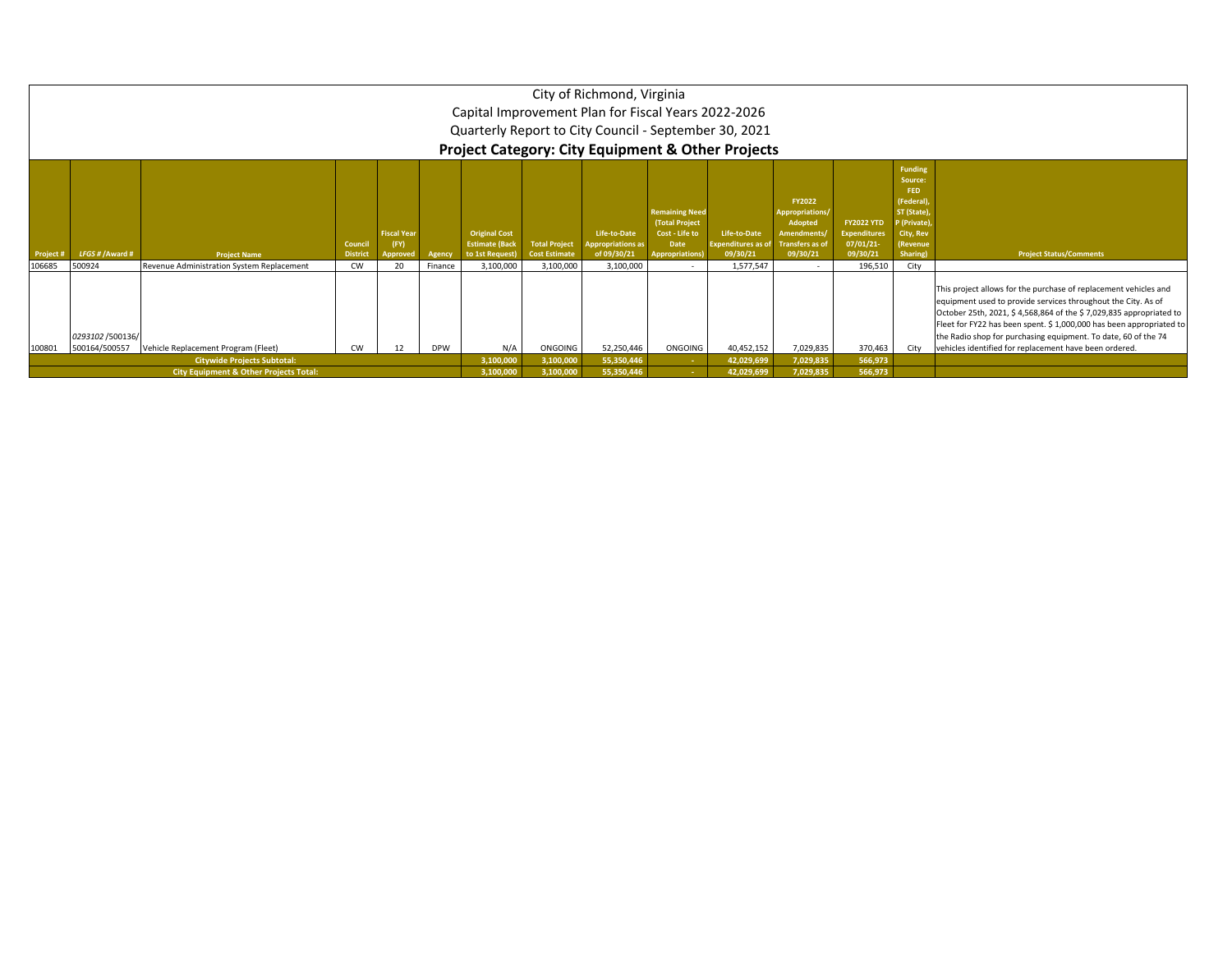|           |                                                                                                                                                                                                                                                                                                                                                                                                                                                                                                                                                                                                                                                                                                                                                                                                      |                                                                                         |           |    |         |                        |                        | City of Richmond, Virginia<br>Capital Improvement Plan for Fiscal Years 2022-2026<br>Quarterly Report to City Council - September 30, 2021<br><b>Project Category: City Equipment &amp; Other Projects</b> |  |                          |                        |         |      |  |  |
|-----------|------------------------------------------------------------------------------------------------------------------------------------------------------------------------------------------------------------------------------------------------------------------------------------------------------------------------------------------------------------------------------------------------------------------------------------------------------------------------------------------------------------------------------------------------------------------------------------------------------------------------------------------------------------------------------------------------------------------------------------------------------------------------------------------------------|-----------------------------------------------------------------------------------------|-----------|----|---------|------------------------|------------------------|------------------------------------------------------------------------------------------------------------------------------------------------------------------------------------------------------------|--|--------------------------|------------------------|---------|------|--|--|
| Project # | <b>Funding</b><br>Source:<br>FED<br>(Federal)<br><b>FY2022</b><br><b>Remaining Need</b><br>ST (State),<br>Appropriations/<br>(Total Project<br><b>FY2022 YTD</b><br>P (Private)<br>Adopted<br><b>Original Cost</b><br><b>Fiscal Year</b><br>Life-to-Date<br>Cost - Life to<br>Life-to-Date<br><b>Amendments</b><br><b>Expenditures</b><br>City, Rev<br>07/01/21<br><b>Total Project</b><br><b>Transfers as of</b><br>Council<br><b>Estimate (Back</b><br><b>Appropriations as</b><br>Date<br><b>Expenditures as of</b><br>(Revenue<br>(FY)<br>LFGS # / Award #<br>09/30/21<br>09/30/21<br>09/30/21<br>Sharing)<br><b>District</b><br>to 1st Request)<br><b>Cost Estimate</b><br>of 09/30/21<br><b>Project Status/Comments</b><br><b>Project Name</b><br>Agency<br><b>Appropriations)</b><br>Approved |                                                                                         |           |    |         |                        |                        |                                                                                                                                                                                                            |  |                          |                        |         |      |  |  |
| 106685    | 500924                                                                                                                                                                                                                                                                                                                                                                                                                                                                                                                                                                                                                                                                                                                                                                                               | Revenue Administration System Replacement                                               | <b>CW</b> | 20 | Finance | 3,100,000              | 3,100,000              | 3,100,000                                                                                                                                                                                                  |  | 1,577,547                |                        | 196,510 | City |  |  |
| 100801    | This project allows for the purchase of replacement vehicles and<br>equipment used to provide services throughout the City. As of<br>October 25th, 2021, \$4,568,864 of the \$7,029,835 appropriated to<br>Fleet for FY22 has been spent. \$ 1,000,000 has been appropriated to<br>0293102 /500136/<br>the Radio shop for purchasing equipment. To date, 60 of the 74<br>N/A<br>ONGOING<br>vehicles identified for replacement have been ordered.<br>Vehicle Replacement Program (Fleet)<br>52,250,446<br>ONGOING<br>40,452,152<br>7,029,835<br>370,463<br>500164/500557<br><b>CW</b><br>12<br><b>DPW</b><br>City<br>566,973                                                                                                                                                                         |                                                                                         |           |    |         |                        |                        |                                                                                                                                                                                                            |  |                          |                        |         |      |  |  |
|           |                                                                                                                                                                                                                                                                                                                                                                                                                                                                                                                                                                                                                                                                                                                                                                                                      | <b>Citywide Projects Subtotal:</b><br><b>City Equipment &amp; Other Projects Total:</b> |           |    |         | 3,100,000<br>3,100,000 | 3,100,000<br>3,100,000 | 55,350,446<br>55,350,446                                                                                                                                                                                   |  | 42,029,699<br>42,029,699 | 7,029,835<br>7,029,835 | 566,973 |      |  |  |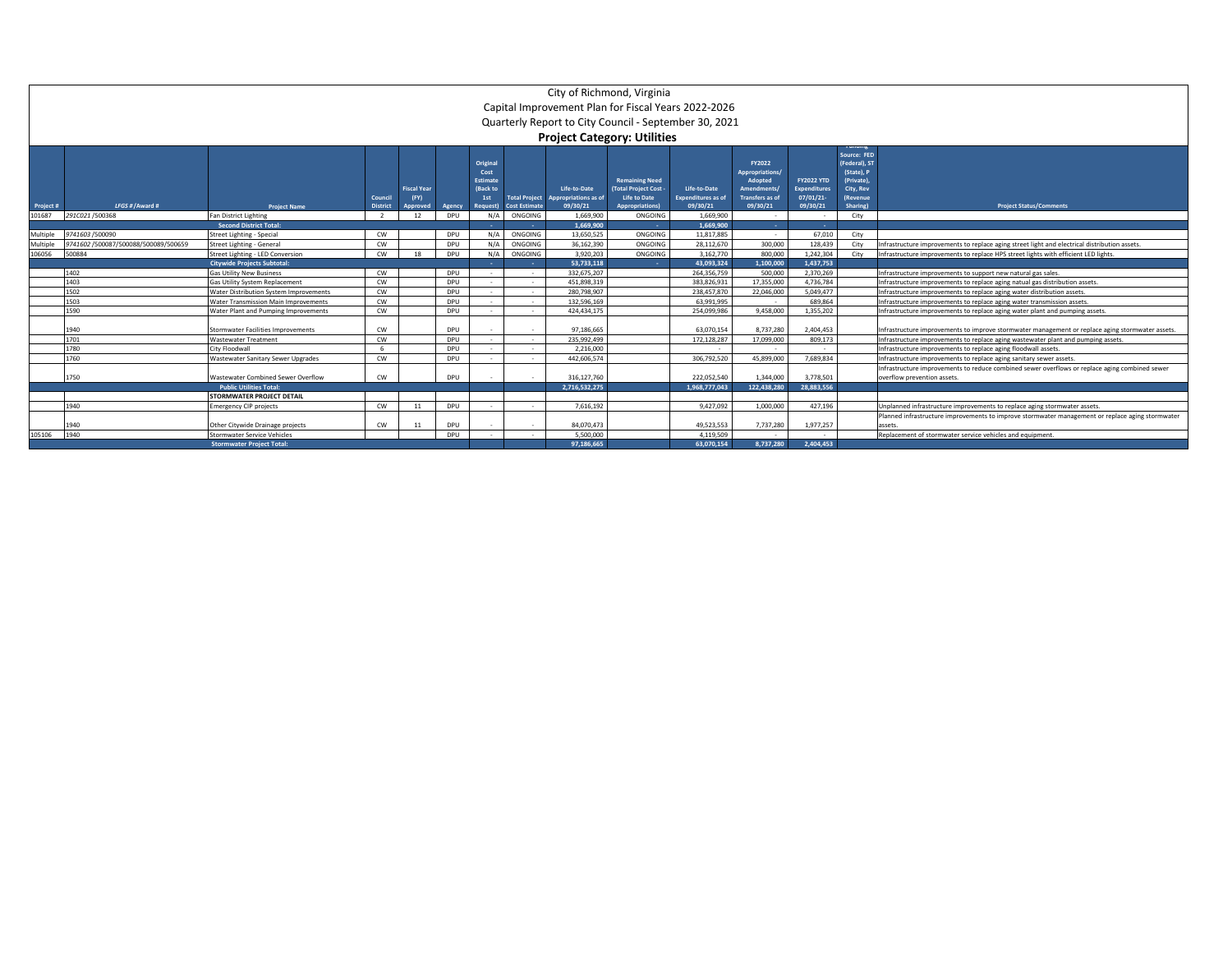|           | City of Richmond, Virginia                            |                                        |                 |                    |            |                 |                          |                                    |                        |                           |                        |                     |                              |                                                                                                  |  |
|-----------|-------------------------------------------------------|----------------------------------------|-----------------|--------------------|------------|-----------------|--------------------------|------------------------------------|------------------------|---------------------------|------------------------|---------------------|------------------------------|--------------------------------------------------------------------------------------------------|--|
|           | Capital Improvement Plan for Fiscal Years 2022-2026   |                                        |                 |                    |            |                 |                          |                                    |                        |                           |                        |                     |                              |                                                                                                  |  |
|           | Quarterly Report to City Council - September 30, 2021 |                                        |                 |                    |            |                 |                          |                                    |                        |                           |                        |                     |                              |                                                                                                  |  |
|           |                                                       |                                        |                 |                    |            |                 |                          |                                    |                        |                           |                        |                     |                              |                                                                                                  |  |
|           |                                                       |                                        |                 |                    |            |                 |                          | <b>Project Category: Utilities</b> |                        |                           |                        |                     |                              |                                                                                                  |  |
|           |                                                       |                                        |                 |                    |            |                 |                          |                                    |                        |                           |                        |                     |                              |                                                                                                  |  |
|           |                                                       |                                        |                 |                    |            | Original        |                          |                                    |                        |                           | FY2022                 |                     | Source: FED<br>(Federal), ST |                                                                                                  |  |
|           |                                                       |                                        |                 |                    |            | Cost            |                          |                                    |                        |                           | <b>Appropriations</b>  |                     | (State). P                   |                                                                                                  |  |
|           |                                                       |                                        |                 |                    |            | <b>Estimate</b> |                          |                                    | <b>Remaining Need</b>  |                           | <b>Adopted</b>         | <b>FY2022 YTD</b>   | (Private),                   |                                                                                                  |  |
|           |                                                       |                                        |                 | <b>Fiscal Year</b> |            | (Back to        |                          | Life-to-Date                       | (Total Project Cost    | Life-to-Date              | Amendments/            | <b>Expenditures</b> | City, Rev                    |                                                                                                  |  |
|           |                                                       |                                        | Council         | (FY)               |            | 1st             | <b>Total Project</b>     | Appropriations as of               | Life to Date           | <b>Expenditures as of</b> | <b>Transfers as of</b> | 07/01/21            | (Revenue                     |                                                                                                  |  |
| Project # | LFGS # / Award #                                      | <b>Project Name</b>                    | <b>District</b> | Approved           | Agency     | Request)        | <b>Cost Estimate</b>     | 09/30/21                           | <b>Appropriations)</b> | 09/30/21                  | 09/30/21               | 09/30/21            | Sharing)                     | <b>Project Status/Comments</b>                                                                   |  |
| 101687    | 291C021/500368                                        | Fan District Lighting                  | $\overline{2}$  | 12                 | DPU        | N/A             | ONGOING                  | 1.669.900                          | ONGOING                | 1.669.900                 | $\sim$                 | $\sim$              | City                         |                                                                                                  |  |
|           |                                                       | <b>Second District Total:</b>          |                 |                    |            |                 | ۰.                       | 1.669.900                          | . .                    | 1.669.900                 | <b>Section</b>         | <b>Contract</b>     |                              |                                                                                                  |  |
| Multiple  | 9741603 /500090                                       | Street Lighting - Special              | CW              |                    | <b>DPU</b> | N/A             | ONGOING                  | 13.650.525                         | ONGOING                | 11.817.885                | $\sim$                 | 67.010              | City                         |                                                                                                  |  |
| Multiple  | 9741602 /500087/500088/500089/500659                  | Street Lighting - General              | CW              |                    | DPU        | N/A             | ONGOING                  | 36,162,390                         | ONGOING                | 28,112,670                | 300,000                | 128,439             | City                         | Infrastructure improvements to replace aging street light and electrical distribution assets.    |  |
| 106056    | 500884                                                | Street Lighting - LED Conversion       | CW              | 18                 | DPU        | N/A             | ONGOING                  | 3.920.203                          | ONGOING                | 3.162.770                 | 800,000                | 1.242.304           | City                         | Infrastructure improvements to replace HPS street lights with efficient LED lights.              |  |
|           |                                                       | <b>Citywide Projects Subtotal:</b>     |                 |                    |            |                 |                          | 53.733.118                         | <b>COL</b>             | 43.093.324                | 1.100.000              | 1.437.753           |                              |                                                                                                  |  |
|           | 1402                                                  | <b>Gas Utility New Business</b>        | CW              |                    | DPU        |                 | $\sim$                   | 332.675.207                        |                        | 264.356.759               | 500,000                | 2,370,269           |                              | Infrastructure improvements to support new natural gas sales.                                    |  |
|           | 1403                                                  | Gas Utility System Replacement         | CW              |                    | DPU        |                 | $\sim$                   | 451.898.319                        |                        | 383.826.931               | 17,355,000             | 4,736,784           |                              | Infrastructure improvements to replace aging natual gas distribution assets.                     |  |
|           | 1502                                                  | Water Distribution System Improvements | CW              |                    | DPU        |                 | $\sim$                   | 280,798,907                        |                        | 238,457,870               | 22,046,000             | 5.049.477           |                              | Infrastructure improvements to replace aging water distribution assets.                          |  |
|           | 1503                                                  | Water Transmission Main Improvements   | CW              |                    | DPU        |                 | $\overline{\phantom{a}}$ | 132.596.169                        |                        | 63.991.995                |                        | 689.864             |                              | Infrastructure improvements to replace aging water transmission assets                           |  |
|           | 1590                                                  | Water Plant and Pumping Improvements   | CW              |                    | DPU        |                 | $\overline{\phantom{a}}$ | 424.434.175                        |                        | 254.099.986               | 9,458,000              | 1.355.202           |                              | Infrastructure improvements to replace aging water plant and pumping assets.                     |  |
|           |                                                       |                                        |                 |                    |            |                 |                          |                                    |                        |                           |                        |                     |                              |                                                                                                  |  |
|           | 1940                                                  | Stormwater Facilities Improvements     | CW              |                    | <b>DPU</b> |                 |                          | 97.186.665                         |                        | 63.070.154                | 8,737,280              | 2.404.453           |                              | Infrastructure improvements to improve stormwater management or replace aging stormwater assets. |  |
|           | 1701                                                  | <b>Wastewater Treatment</b>            | CW              |                    | DPU        |                 | $\sim$                   | 235.992.499                        |                        | 172,128,287               | 17,099,000             | 809.173             |                              | Infrastructure improvements to replace aging wastewater plant and pumping assets.                |  |
|           | 1780                                                  | City Floodwall                         |                 |                    | DPU        |                 | $\sim$                   | 2.216.000                          |                        | $\sim$                    | $\sim$                 | $\sim$              |                              | Infrastructure improvements to replace aging floodwall assets.                                   |  |
|           | 1760                                                  | Wastewater Sanitary Sewer Upgrades     | CW              |                    | DPU        |                 | $\sim$                   | 442.606.574                        |                        | 306.792.520               | 45.899.000             | 7.689.834           |                              | Infrastructure improvements to replace aging sanitary sewer assets.                              |  |
|           |                                                       |                                        |                 |                    |            |                 |                          |                                    |                        |                           |                        |                     |                              | Infrastructure improvements to reduce combined sewer overflows or replace aging combined sewer   |  |
|           | 1750                                                  | Wastewater Combined Sewer Overflow     | CW              |                    | DPU        |                 |                          | 316.127.760                        |                        | 222.052.540               | 1.344.000              | 3.778.501           |                              | overflow prevention assets.                                                                      |  |
|           |                                                       | <b>Public Utilities Total:</b>         |                 |                    |            |                 |                          | 2.716.532.275                      |                        | 1.968.777.043             | 122.438.280            | 28,883,556          |                              |                                                                                                  |  |
|           |                                                       | STORMWATER PROJECT DETAIL              |                 |                    |            |                 |                          |                                    |                        |                           |                        |                     |                              |                                                                                                  |  |
|           | 1940                                                  | <b>Emergency CIP projects</b>          | CW              | 11                 | DPU        |                 |                          | 7.616.192                          |                        | 9.427.092                 | 1.000.000              | 427.196             |                              | Unplanned infrastructure improvements to replace aging stormwater assets.                        |  |
|           |                                                       |                                        |                 |                    |            |                 |                          |                                    |                        |                           |                        |                     |                              | Planned infrastructure improvements to improve stormwater management or replace aging stormwater |  |
|           | 1940                                                  | Other Citywide Drainage projects       | CW              | 11                 | DPU        |                 | $\overline{\phantom{a}}$ | 84,070,473                         |                        | 49,523,553                | 7,737,280              | 1,977,257           |                              | assets                                                                                           |  |
| 105106    | 1940                                                  | Stormwater Service Vehicles            |                 |                    | DPU        |                 |                          | 5.500.000                          |                        | 4.119.509                 |                        | $\sim$              |                              | Replacement of stormwater service vehicles and equipment                                         |  |
|           |                                                       | <b>Stormwater Project Total:</b>       |                 |                    |            |                 |                          | 97.186.665                         |                        | 63.070.154                | 8.737.280              | 2.404.453           |                              |                                                                                                  |  |